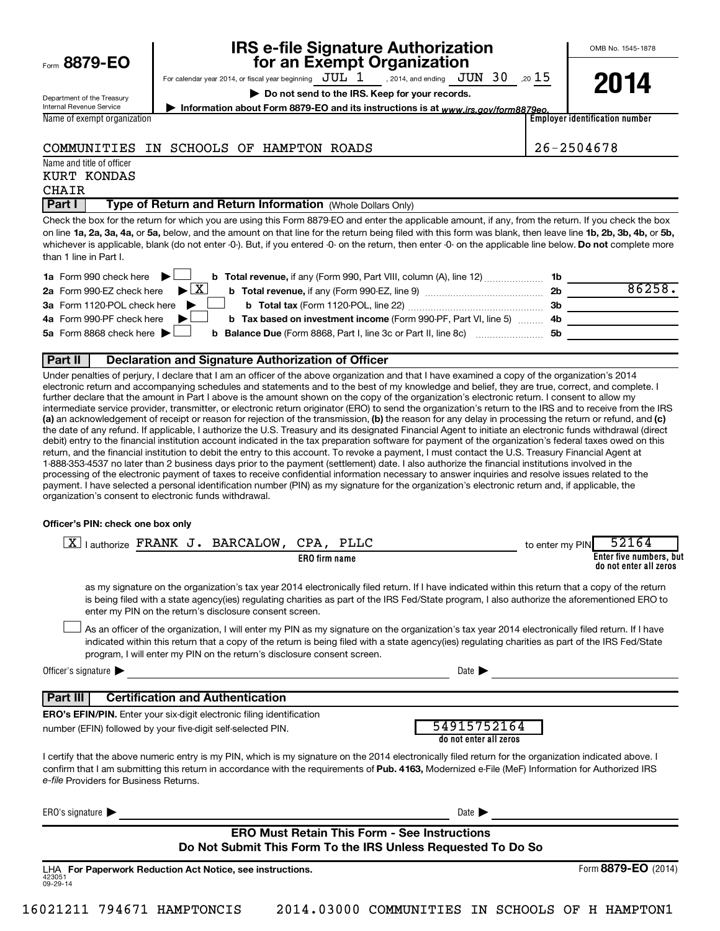|  | Form 8879-EO |  |  |  |
|--|--------------|--|--|--|
|--|--------------|--|--|--|

# **IRS e-file Signature Authorization**<br>**687 For an Exempt Organization**

OMB No. 1545-1878

Department of the Treasury Internal Revenue Service Name of exempt organization For calendar year 2014, or fiscal year beginning  $JUL_1$ , 2014, and ending  $JUN_30$ , 20  $15$ **| Do not send to the IRS. Keep for your records.** , 2014, and ending  $\,$   $\rm JUN$   $\,$   $30$ 

**2014**

**| Information about Form 8879-EO and its instructions is at**  *www.irs.gov/form8879eo.*

**Employer identification number**

### COMMUNITIES IN SCHOOLS OF HAMPTON ROADS 26-2504678

Name and title of officer

## KURT KONDAS

CHAIR

### **Part I** | Type of Return and Return Information (Whole Dollars Only)

on line 1a, 2a, 3a, 4a, or 5a, below, and the amount on that line for the return being filed with this form was blank, then leave line 1b, 2b, 3b, 4b, or 5b, whichever is applicable, blank (do not enter -0-). But, if you entered -0- on the return, then enter -0- on the applicable line below. **Do not** complete more Check the box for the return for which you are using this Form 8879-EO and enter the applicable amount, if any, from the return. If you check the box than 1 line in Part I.

| 1a Form 990 check here $\blacktriangleright$<br><b>b</b> Total revenue, if any (Form 990, Part VIII, column (A), line 12) <b>1b</b>            |     |        |
|------------------------------------------------------------------------------------------------------------------------------------------------|-----|--------|
| 2a Form 990-EZ check here $\blacktriangleright \boxed{X}$<br><b>b</b> Total revenue, if any (Form 990-EZ, line 9) <i>manageranan</i> manageran | 2b  | 86258. |
| 3a Form 1120-POL check here                                                                                                                    | 3b  |        |
| 4a Form 990-PF check here<br><b>b</b> Tax based on investment income (Form 990-PF, Part VI, line 5) 4b                                         |     |        |
| 5a Form 8868 check here $\blacktriangleright$<br><b>b Balance Due</b> (Form 8868, Part I, line 3c or Part II, line 8c)                         | .5b |        |
|                                                                                                                                                |     |        |

### **Part II Declaration and Signature Authorization of Officer**

(a) an acknowledgement of receipt or reason for rejection of the transmission, (b) the reason for any delay in processing the return or refund, and (c) Under penalties of perjury, I declare that I am an officer of the above organization and that I have examined a copy of the organization's 2014 electronic return and accompanying schedules and statements and to the best of my knowledge and belief, they are true, correct, and complete. I further declare that the amount in Part I above is the amount shown on the copy of the organization's electronic return. I consent to allow my intermediate service provider, transmitter, or electronic return originator (ERO) to send the organization's return to the IRS and to receive from the IRS the date of any refund. If applicable, I authorize the U.S. Treasury and its designated Financial Agent to initiate an electronic funds withdrawal (direct debit) entry to the financial institution account indicated in the tax preparation software for payment of the organization's federal taxes owed on this return, and the financial institution to debit the entry to this account. To revoke a payment, I must contact the U.S. Treasury Financial Agent at 1-888-353-4537 no later than 2 business days prior to the payment (settlement) date. I also authorize the financial institutions involved in the processing of the electronic payment of taxes to receive confidential information necessary to answer inquiries and resolve issues related to the payment. I have selected a personal identification number (PIN) as my signature for the organization's electronic return and, if applicable, the organization's consent to electronic funds withdrawal.

#### **Officer's PIN: check one box only**

| lauthorize FRANK J. BARCALOW,<br>CPA, PLLC<br>ΧI                                                                                                                                                                                                                                                                                                       | 52164<br>to enter my PIN                                                                                                                                                                                                                                                                              |
|--------------------------------------------------------------------------------------------------------------------------------------------------------------------------------------------------------------------------------------------------------------------------------------------------------------------------------------------------------|-------------------------------------------------------------------------------------------------------------------------------------------------------------------------------------------------------------------------------------------------------------------------------------------------------|
| <b>ERO</b> firm name                                                                                                                                                                                                                                                                                                                                   | Enter five numbers, but<br>do not enter all zeros                                                                                                                                                                                                                                                     |
| enter my PIN on the return's disclosure consent screen.                                                                                                                                                                                                                                                                                                | as my signature on the organization's tax year 2014 electronically filed return. If I have indicated within this return that a copy of the return<br>is being filed with a state agency(ies) regulating charities as part of the IRS Fed/State program, I also authorize the aforementioned ERO to    |
| program, I will enter my PIN on the return's disclosure consent screen.                                                                                                                                                                                                                                                                                | As an officer of the organization, I will enter my PIN as my signature on the organization's tax year 2014 electronically filed return. If I have<br>indicated within this return that a copy of the return is being filed with a state agency(ies) regulating charities as part of the IRS Fed/State |
| Officer's signature $\blacktriangleright$                                                                                                                                                                                                                                                                                                              | Date $\blacksquare$                                                                                                                                                                                                                                                                                   |
| <b>Certification and Authentication</b><br>  Part III                                                                                                                                                                                                                                                                                                  |                                                                                                                                                                                                                                                                                                       |
| <b>ERO's EFIN/PIN.</b> Enter your six-digit electronic filing identification                                                                                                                                                                                                                                                                           |                                                                                                                                                                                                                                                                                                       |
| number (EFIN) followed by your five-digit self-selected PIN.                                                                                                                                                                                                                                                                                           | 54915752164<br>do not enter all zeros                                                                                                                                                                                                                                                                 |
| I certify that the above numeric entry is my PIN, which is my signature on the 2014 electronically filed return for the organization indicated above. I<br>confirm that I am submitting this return in accordance with the requirements of Pub. 4163, Modernized e-File (MeF) Information for Authorized IRS<br>e-file Providers for Business Returns. |                                                                                                                                                                                                                                                                                                       |
| ERO's signature $\blacktriangleright$                                                                                                                                                                                                                                                                                                                  | Date $\blacktriangleright$                                                                                                                                                                                                                                                                            |
| <b>ERO Must Retain This Form - See Instructions</b>                                                                                                                                                                                                                                                                                                    |                                                                                                                                                                                                                                                                                                       |
| Do Not Submit This Form To the IRS Unless Requested To Do So                                                                                                                                                                                                                                                                                           |                                                                                                                                                                                                                                                                                                       |
| LHA For Paperwork Reduction Act Notice, see instructions.<br>423051<br>09-29-14                                                                                                                                                                                                                                                                        | Form 8879-EO (2014)                                                                                                                                                                                                                                                                                   |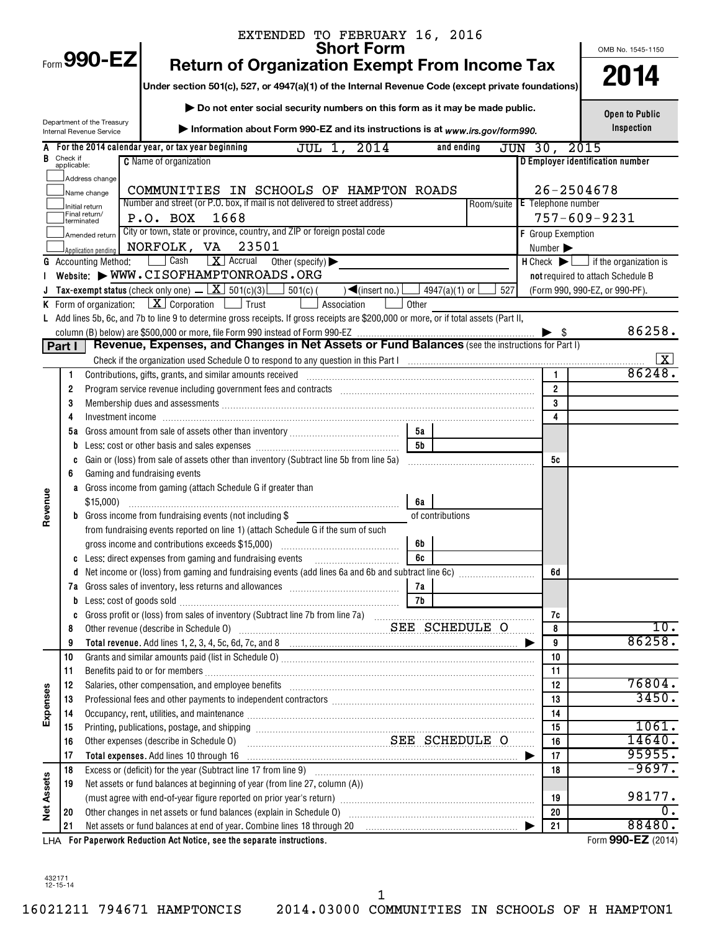| Form 990-EZ<br><b>Return of Organization Exempt From Income Tax</b><br>2014<br>Under section 501(c), 527, or 4947(a)(1) of the Internal Revenue Code (except private foundations)<br>Do not enter social security numbers on this form as it may be made public.<br><b>Open to Public</b><br>Department of the Treasury<br>Inspection<br>Information about Form 990-EZ and its instructions is at www.irs.gov/form990.<br>Internal Revenue Service<br>A For the 2014 calendar year, or tax year beginning<br>JUL 1,<br>2014<br>and ending<br>JUN 30,<br>2015<br>Check if<br>applicable:<br>В<br><b>C</b> Name of organization<br>D Employer identification number<br>Address change<br>$26 - 2504678$<br>COMMUNITIES IN SCHOOLS OF HAMPTON ROADS<br>Name change<br>Number and street (or P.O. box, if mail is not delivered to street address)<br>Room/suite E Telephone number<br>Initial return<br>Final return/<br>P.O. BOX<br>1668<br>$757 - 609 - 9231$<br>terminated<br>City or town, state or province, country, and ZIP or foreign postal code<br>F Group Exemption<br>Amended return<br>NORFOLK, VA<br>23501<br>Number $\blacktriangleright$<br>Application pending<br>Cash<br>$\boxed{\mathbf{X}}$ Accrual<br>Other (specify) $\blacktriangleright$<br>$H$ Check $\blacktriangleright$ $\blacksquare$ if the organization is<br><b>G</b> Accounting Method:<br>Website: WWW.CISOFHAMPTONROADS.ORG<br>not required to attach Schedule B<br>Tax-exempt status (check only one) $\boxed{\mathbf{X}}$ 501(c)(3)<br>$501(c)$ (<br>$\sqrt{\frac{2}{1}}$ (insert no.)<br>(Form 990, 990-EZ, or 990-PF).<br>4947(a)(1) or [<br>527<br><b>K</b> Form of organization: $X \cdot \text{Corporation}$ $\Box$ Trust<br>Association<br>Other<br>L Add lines 5b, 6c, and 7b to line 9 to determine gross receipts. If gross receipts are \$200,000 or more, or if total assets (Part II,<br>86258.<br>- \$<br>Revenue, Expenses, and Changes in Net Assets or Fund Balances (see the instructions for Part I)<br>Part I<br>Check if the organization used Schedule O to respond to any question in this Part Informational manufacture or content in the Part Information of the organization used Schedule O to respond to any question in this Part Inf<br>86248<br>$\mathbf{1}$<br>Contributions, gifts, grants, and similar amounts received<br>1<br>$\overline{2}$<br>Program service revenue including government fees and contracts [11] [11] program service revenue including government fees and contracts [11] [11] program service revenue including government fees and contracts [11] $\alpha$<br>2<br>3<br>3<br>4<br>4<br>5а<br>5а<br>5b<br>b<br>Gain or (loss) from sale of assets other than inventory (Subtract line 5b from line 5a)<br>5c<br>C<br>Gaming and fundraising events<br>6<br>a Gross income from gaming (attach Schedule G if greater than<br>Revenue<br>$$15,000$ )<br>6а<br><b>b</b> Gross income from fundraising events (not including \$<br>of contributions<br>from fundraising events reported on line 1) (attach Schedule G if the sum of such<br>gross income and contributions exceeds \$15,000)<br>6b<br>Less: direct expenses from gaming and fundraising events<br>6c<br>C<br>6d<br>d<br>7а<br>Less: cost of goods sold manufactured and solid contract of the solid state and solid state and set of the state state state of the state state state state state state state state state state state state state state state<br>b<br>7c<br>C<br>Other revenue (describe in Schedule 0) Material Material SEE SCHEDULE O<br>$\overline{10}$ .<br>8<br>8<br>86258.<br>9<br>9<br>10<br>10<br>11<br>11<br>76804.<br>Salaries, other compensation, and employee benefits [11] manufactures in the contraction of the compensation, and employee benefits [11] manufactures in the compensation of the contraction of the contraction of the contrac<br>12<br>12<br>Expenses<br>3450.<br>Professional fees and other payments to independent contractors [11] matter contractors [11] professional fees and other payments to independent contractors [11] matter contractors and the Professional fees and the Profess<br>13<br>13<br>Occupancy, rent, utilities, and maintenance manufactured and according term of the manufacture of the manufacture<br>14<br>14<br>1061.<br>15<br>15<br>14640.<br>SEE SCHEDULE O<br>Other expenses (describe in Schedule O)<br>16<br>16<br>95955.<br>17<br>Total expenses. Add lines 10 through 16<br>17<br>$-9697.$<br>18<br>18<br><b>Net Assets</b><br>Net assets or fund balances at beginning of year (from line 27, column (A))<br>19<br>98177.<br>19<br>0.<br>20<br>20<br>88480.<br>Net assets or fund balances at end of year. Combine lines 18 through 20 [11] matter contains the set of the Net assets or fund balances at end of year. Combine lines 18 through 20 [11] matter contains the Net assets of Net<br>21<br>21<br>LHA For Paperwork Reduction Act Notice, see the separate instructions. |  | EXTENDED TO FEBRUARY 16, 2016<br><b>Short Form</b> |  | OMB No. 1545-1150 |
|--------------------------------------------------------------------------------------------------------------------------------------------------------------------------------------------------------------------------------------------------------------------------------------------------------------------------------------------------------------------------------------------------------------------------------------------------------------------------------------------------------------------------------------------------------------------------------------------------------------------------------------------------------------------------------------------------------------------------------------------------------------------------------------------------------------------------------------------------------------------------------------------------------------------------------------------------------------------------------------------------------------------------------------------------------------------------------------------------------------------------------------------------------------------------------------------------------------------------------------------------------------------------------------------------------------------------------------------------------------------------------------------------------------------------------------------------------------------------------------------------------------------------------------------------------------------------------------------------------------------------------------------------------------------------------------------------------------------------------------------------------------------------------------------------------------------------------------------------------------------------------------------------------------------------------------------------------------------------------------------------------------------------------------------------------------------------------------------------------------------------------------------------------------------------------------------------------------------------------------------------------------------------------------------------------------------------------------------------------------------------------------------------------------------------------------------------------------------------------------------------------------------------------------------------------------------------------------------------------------------------------------------------------------------------------------------------------------------------------------------------------------------------------------------------------------------------------------------------------------------------------------------------------------------------------------------------------------------------------------------------------------------------------------------------------------------------------------------------------------------------------------------------------------------------------------------------------------------------------------------------------------------------------------------------------------------------------------------------------------------------------------------------------------------------------------------------------------------------------------------------------------------------------------------------------------------------------------------------------------------------------------------------------------------------------------------------------------------------------------------------------------------------------------------------------------------------------------------------------------------------------------------------------------------------------------------------------------------------------------------------------------------------------------------------------------------------------------------------------------------------------------------------------------------------------------------------------------------------------------------------------------------------------------------------------------------------------------------------------------------------------------------------------------------------------------------------------------------------------------------------------------------------------------------------------------------------------------------------------------------------------------------------------------------------------------------------------------------------------------------------------------------------------------------------------------------------------------------------------------------------------------------------------------------------------------------------------------------------------------|--|----------------------------------------------------|--|-------------------|
|                                                                                                                                                                                                                                                                                                                                                                                                                                                                                                                                                                                                                                                                                                                                                                                                                                                                                                                                                                                                                                                                                                                                                                                                                                                                                                                                                                                                                                                                                                                                                                                                                                                                                                                                                                                                                                                                                                                                                                                                                                                                                                                                                                                                                                                                                                                                                                                                                                                                                                                                                                                                                                                                                                                                                                                                                                                                                                                                                                                                                                                                                                                                                                                                                                                                                                                                                                                                                                                                                                                                                                                                                                                                                                                                                                                                                                                                                                                                                                                                                                                                                                                                                                                                                                                                                                                                                                                                                                                                                                                                                                                                                                                                                                                                                                                                                                                                                                                                                                                      |  |                                                    |  |                   |
| Form 990-EZ (2014)                                                                                                                                                                                                                                                                                                                                                                                                                                                                                                                                                                                                                                                                                                                                                                                                                                                                                                                                                                                                                                                                                                                                                                                                                                                                                                                                                                                                                                                                                                                                                                                                                                                                                                                                                                                                                                                                                                                                                                                                                                                                                                                                                                                                                                                                                                                                                                                                                                                                                                                                                                                                                                                                                                                                                                                                                                                                                                                                                                                                                                                                                                                                                                                                                                                                                                                                                                                                                                                                                                                                                                                                                                                                                                                                                                                                                                                                                                                                                                                                                                                                                                                                                                                                                                                                                                                                                                                                                                                                                                                                                                                                                                                                                                                                                                                                                                                                                                                                                                   |  |                                                    |  |                   |
|                                                                                                                                                                                                                                                                                                                                                                                                                                                                                                                                                                                                                                                                                                                                                                                                                                                                                                                                                                                                                                                                                                                                                                                                                                                                                                                                                                                                                                                                                                                                                                                                                                                                                                                                                                                                                                                                                                                                                                                                                                                                                                                                                                                                                                                                                                                                                                                                                                                                                                                                                                                                                                                                                                                                                                                                                                                                                                                                                                                                                                                                                                                                                                                                                                                                                                                                                                                                                                                                                                                                                                                                                                                                                                                                                                                                                                                                                                                                                                                                                                                                                                                                                                                                                                                                                                                                                                                                                                                                                                                                                                                                                                                                                                                                                                                                                                                                                                                                                                                      |  |                                                    |  |                   |
|                                                                                                                                                                                                                                                                                                                                                                                                                                                                                                                                                                                                                                                                                                                                                                                                                                                                                                                                                                                                                                                                                                                                                                                                                                                                                                                                                                                                                                                                                                                                                                                                                                                                                                                                                                                                                                                                                                                                                                                                                                                                                                                                                                                                                                                                                                                                                                                                                                                                                                                                                                                                                                                                                                                                                                                                                                                                                                                                                                                                                                                                                                                                                                                                                                                                                                                                                                                                                                                                                                                                                                                                                                                                                                                                                                                                                                                                                                                                                                                                                                                                                                                                                                                                                                                                                                                                                                                                                                                                                                                                                                                                                                                                                                                                                                                                                                                                                                                                                                                      |  |                                                    |  |                   |
|                                                                                                                                                                                                                                                                                                                                                                                                                                                                                                                                                                                                                                                                                                                                                                                                                                                                                                                                                                                                                                                                                                                                                                                                                                                                                                                                                                                                                                                                                                                                                                                                                                                                                                                                                                                                                                                                                                                                                                                                                                                                                                                                                                                                                                                                                                                                                                                                                                                                                                                                                                                                                                                                                                                                                                                                                                                                                                                                                                                                                                                                                                                                                                                                                                                                                                                                                                                                                                                                                                                                                                                                                                                                                                                                                                                                                                                                                                                                                                                                                                                                                                                                                                                                                                                                                                                                                                                                                                                                                                                                                                                                                                                                                                                                                                                                                                                                                                                                                                                      |  |                                                    |  |                   |
|                                                                                                                                                                                                                                                                                                                                                                                                                                                                                                                                                                                                                                                                                                                                                                                                                                                                                                                                                                                                                                                                                                                                                                                                                                                                                                                                                                                                                                                                                                                                                                                                                                                                                                                                                                                                                                                                                                                                                                                                                                                                                                                                                                                                                                                                                                                                                                                                                                                                                                                                                                                                                                                                                                                                                                                                                                                                                                                                                                                                                                                                                                                                                                                                                                                                                                                                                                                                                                                                                                                                                                                                                                                                                                                                                                                                                                                                                                                                                                                                                                                                                                                                                                                                                                                                                                                                                                                                                                                                                                                                                                                                                                                                                                                                                                                                                                                                                                                                                                                      |  |                                                    |  |                   |
|                                                                                                                                                                                                                                                                                                                                                                                                                                                                                                                                                                                                                                                                                                                                                                                                                                                                                                                                                                                                                                                                                                                                                                                                                                                                                                                                                                                                                                                                                                                                                                                                                                                                                                                                                                                                                                                                                                                                                                                                                                                                                                                                                                                                                                                                                                                                                                                                                                                                                                                                                                                                                                                                                                                                                                                                                                                                                                                                                                                                                                                                                                                                                                                                                                                                                                                                                                                                                                                                                                                                                                                                                                                                                                                                                                                                                                                                                                                                                                                                                                                                                                                                                                                                                                                                                                                                                                                                                                                                                                                                                                                                                                                                                                                                                                                                                                                                                                                                                                                      |  |                                                    |  |                   |
|                                                                                                                                                                                                                                                                                                                                                                                                                                                                                                                                                                                                                                                                                                                                                                                                                                                                                                                                                                                                                                                                                                                                                                                                                                                                                                                                                                                                                                                                                                                                                                                                                                                                                                                                                                                                                                                                                                                                                                                                                                                                                                                                                                                                                                                                                                                                                                                                                                                                                                                                                                                                                                                                                                                                                                                                                                                                                                                                                                                                                                                                                                                                                                                                                                                                                                                                                                                                                                                                                                                                                                                                                                                                                                                                                                                                                                                                                                                                                                                                                                                                                                                                                                                                                                                                                                                                                                                                                                                                                                                                                                                                                                                                                                                                                                                                                                                                                                                                                                                      |  |                                                    |  |                   |
|                                                                                                                                                                                                                                                                                                                                                                                                                                                                                                                                                                                                                                                                                                                                                                                                                                                                                                                                                                                                                                                                                                                                                                                                                                                                                                                                                                                                                                                                                                                                                                                                                                                                                                                                                                                                                                                                                                                                                                                                                                                                                                                                                                                                                                                                                                                                                                                                                                                                                                                                                                                                                                                                                                                                                                                                                                                                                                                                                                                                                                                                                                                                                                                                                                                                                                                                                                                                                                                                                                                                                                                                                                                                                                                                                                                                                                                                                                                                                                                                                                                                                                                                                                                                                                                                                                                                                                                                                                                                                                                                                                                                                                                                                                                                                                                                                                                                                                                                                                                      |  |                                                    |  |                   |
|                                                                                                                                                                                                                                                                                                                                                                                                                                                                                                                                                                                                                                                                                                                                                                                                                                                                                                                                                                                                                                                                                                                                                                                                                                                                                                                                                                                                                                                                                                                                                                                                                                                                                                                                                                                                                                                                                                                                                                                                                                                                                                                                                                                                                                                                                                                                                                                                                                                                                                                                                                                                                                                                                                                                                                                                                                                                                                                                                                                                                                                                                                                                                                                                                                                                                                                                                                                                                                                                                                                                                                                                                                                                                                                                                                                                                                                                                                                                                                                                                                                                                                                                                                                                                                                                                                                                                                                                                                                                                                                                                                                                                                                                                                                                                                                                                                                                                                                                                                                      |  |                                                    |  |                   |
|                                                                                                                                                                                                                                                                                                                                                                                                                                                                                                                                                                                                                                                                                                                                                                                                                                                                                                                                                                                                                                                                                                                                                                                                                                                                                                                                                                                                                                                                                                                                                                                                                                                                                                                                                                                                                                                                                                                                                                                                                                                                                                                                                                                                                                                                                                                                                                                                                                                                                                                                                                                                                                                                                                                                                                                                                                                                                                                                                                                                                                                                                                                                                                                                                                                                                                                                                                                                                                                                                                                                                                                                                                                                                                                                                                                                                                                                                                                                                                                                                                                                                                                                                                                                                                                                                                                                                                                                                                                                                                                                                                                                                                                                                                                                                                                                                                                                                                                                                                                      |  |                                                    |  |                   |
|                                                                                                                                                                                                                                                                                                                                                                                                                                                                                                                                                                                                                                                                                                                                                                                                                                                                                                                                                                                                                                                                                                                                                                                                                                                                                                                                                                                                                                                                                                                                                                                                                                                                                                                                                                                                                                                                                                                                                                                                                                                                                                                                                                                                                                                                                                                                                                                                                                                                                                                                                                                                                                                                                                                                                                                                                                                                                                                                                                                                                                                                                                                                                                                                                                                                                                                                                                                                                                                                                                                                                                                                                                                                                                                                                                                                                                                                                                                                                                                                                                                                                                                                                                                                                                                                                                                                                                                                                                                                                                                                                                                                                                                                                                                                                                                                                                                                                                                                                                                      |  |                                                    |  |                   |
|                                                                                                                                                                                                                                                                                                                                                                                                                                                                                                                                                                                                                                                                                                                                                                                                                                                                                                                                                                                                                                                                                                                                                                                                                                                                                                                                                                                                                                                                                                                                                                                                                                                                                                                                                                                                                                                                                                                                                                                                                                                                                                                                                                                                                                                                                                                                                                                                                                                                                                                                                                                                                                                                                                                                                                                                                                                                                                                                                                                                                                                                                                                                                                                                                                                                                                                                                                                                                                                                                                                                                                                                                                                                                                                                                                                                                                                                                                                                                                                                                                                                                                                                                                                                                                                                                                                                                                                                                                                                                                                                                                                                                                                                                                                                                                                                                                                                                                                                                                                      |  |                                                    |  |                   |
|                                                                                                                                                                                                                                                                                                                                                                                                                                                                                                                                                                                                                                                                                                                                                                                                                                                                                                                                                                                                                                                                                                                                                                                                                                                                                                                                                                                                                                                                                                                                                                                                                                                                                                                                                                                                                                                                                                                                                                                                                                                                                                                                                                                                                                                                                                                                                                                                                                                                                                                                                                                                                                                                                                                                                                                                                                                                                                                                                                                                                                                                                                                                                                                                                                                                                                                                                                                                                                                                                                                                                                                                                                                                                                                                                                                                                                                                                                                                                                                                                                                                                                                                                                                                                                                                                                                                                                                                                                                                                                                                                                                                                                                                                                                                                                                                                                                                                                                                                                                      |  |                                                    |  |                   |
|                                                                                                                                                                                                                                                                                                                                                                                                                                                                                                                                                                                                                                                                                                                                                                                                                                                                                                                                                                                                                                                                                                                                                                                                                                                                                                                                                                                                                                                                                                                                                                                                                                                                                                                                                                                                                                                                                                                                                                                                                                                                                                                                                                                                                                                                                                                                                                                                                                                                                                                                                                                                                                                                                                                                                                                                                                                                                                                                                                                                                                                                                                                                                                                                                                                                                                                                                                                                                                                                                                                                                                                                                                                                                                                                                                                                                                                                                                                                                                                                                                                                                                                                                                                                                                                                                                                                                                                                                                                                                                                                                                                                                                                                                                                                                                                                                                                                                                                                                                                      |  |                                                    |  |                   |
|                                                                                                                                                                                                                                                                                                                                                                                                                                                                                                                                                                                                                                                                                                                                                                                                                                                                                                                                                                                                                                                                                                                                                                                                                                                                                                                                                                                                                                                                                                                                                                                                                                                                                                                                                                                                                                                                                                                                                                                                                                                                                                                                                                                                                                                                                                                                                                                                                                                                                                                                                                                                                                                                                                                                                                                                                                                                                                                                                                                                                                                                                                                                                                                                                                                                                                                                                                                                                                                                                                                                                                                                                                                                                                                                                                                                                                                                                                                                                                                                                                                                                                                                                                                                                                                                                                                                                                                                                                                                                                                                                                                                                                                                                                                                                                                                                                                                                                                                                                                      |  |                                                    |  |                   |
|                                                                                                                                                                                                                                                                                                                                                                                                                                                                                                                                                                                                                                                                                                                                                                                                                                                                                                                                                                                                                                                                                                                                                                                                                                                                                                                                                                                                                                                                                                                                                                                                                                                                                                                                                                                                                                                                                                                                                                                                                                                                                                                                                                                                                                                                                                                                                                                                                                                                                                                                                                                                                                                                                                                                                                                                                                                                                                                                                                                                                                                                                                                                                                                                                                                                                                                                                                                                                                                                                                                                                                                                                                                                                                                                                                                                                                                                                                                                                                                                                                                                                                                                                                                                                                                                                                                                                                                                                                                                                                                                                                                                                                                                                                                                                                                                                                                                                                                                                                                      |  |                                                    |  |                   |
|                                                                                                                                                                                                                                                                                                                                                                                                                                                                                                                                                                                                                                                                                                                                                                                                                                                                                                                                                                                                                                                                                                                                                                                                                                                                                                                                                                                                                                                                                                                                                                                                                                                                                                                                                                                                                                                                                                                                                                                                                                                                                                                                                                                                                                                                                                                                                                                                                                                                                                                                                                                                                                                                                                                                                                                                                                                                                                                                                                                                                                                                                                                                                                                                                                                                                                                                                                                                                                                                                                                                                                                                                                                                                                                                                                                                                                                                                                                                                                                                                                                                                                                                                                                                                                                                                                                                                                                                                                                                                                                                                                                                                                                                                                                                                                                                                                                                                                                                                                                      |  |                                                    |  |                   |
|                                                                                                                                                                                                                                                                                                                                                                                                                                                                                                                                                                                                                                                                                                                                                                                                                                                                                                                                                                                                                                                                                                                                                                                                                                                                                                                                                                                                                                                                                                                                                                                                                                                                                                                                                                                                                                                                                                                                                                                                                                                                                                                                                                                                                                                                                                                                                                                                                                                                                                                                                                                                                                                                                                                                                                                                                                                                                                                                                                                                                                                                                                                                                                                                                                                                                                                                                                                                                                                                                                                                                                                                                                                                                                                                                                                                                                                                                                                                                                                                                                                                                                                                                                                                                                                                                                                                                                                                                                                                                                                                                                                                                                                                                                                                                                                                                                                                                                                                                                                      |  |                                                    |  |                   |
|                                                                                                                                                                                                                                                                                                                                                                                                                                                                                                                                                                                                                                                                                                                                                                                                                                                                                                                                                                                                                                                                                                                                                                                                                                                                                                                                                                                                                                                                                                                                                                                                                                                                                                                                                                                                                                                                                                                                                                                                                                                                                                                                                                                                                                                                                                                                                                                                                                                                                                                                                                                                                                                                                                                                                                                                                                                                                                                                                                                                                                                                                                                                                                                                                                                                                                                                                                                                                                                                                                                                                                                                                                                                                                                                                                                                                                                                                                                                                                                                                                                                                                                                                                                                                                                                                                                                                                                                                                                                                                                                                                                                                                                                                                                                                                                                                                                                                                                                                                                      |  |                                                    |  |                   |
|                                                                                                                                                                                                                                                                                                                                                                                                                                                                                                                                                                                                                                                                                                                                                                                                                                                                                                                                                                                                                                                                                                                                                                                                                                                                                                                                                                                                                                                                                                                                                                                                                                                                                                                                                                                                                                                                                                                                                                                                                                                                                                                                                                                                                                                                                                                                                                                                                                                                                                                                                                                                                                                                                                                                                                                                                                                                                                                                                                                                                                                                                                                                                                                                                                                                                                                                                                                                                                                                                                                                                                                                                                                                                                                                                                                                                                                                                                                                                                                                                                                                                                                                                                                                                                                                                                                                                                                                                                                                                                                                                                                                                                                                                                                                                                                                                                                                                                                                                                                      |  |                                                    |  |                   |
|                                                                                                                                                                                                                                                                                                                                                                                                                                                                                                                                                                                                                                                                                                                                                                                                                                                                                                                                                                                                                                                                                                                                                                                                                                                                                                                                                                                                                                                                                                                                                                                                                                                                                                                                                                                                                                                                                                                                                                                                                                                                                                                                                                                                                                                                                                                                                                                                                                                                                                                                                                                                                                                                                                                                                                                                                                                                                                                                                                                                                                                                                                                                                                                                                                                                                                                                                                                                                                                                                                                                                                                                                                                                                                                                                                                                                                                                                                                                                                                                                                                                                                                                                                                                                                                                                                                                                                                                                                                                                                                                                                                                                                                                                                                                                                                                                                                                                                                                                                                      |  |                                                    |  |                   |
|                                                                                                                                                                                                                                                                                                                                                                                                                                                                                                                                                                                                                                                                                                                                                                                                                                                                                                                                                                                                                                                                                                                                                                                                                                                                                                                                                                                                                                                                                                                                                                                                                                                                                                                                                                                                                                                                                                                                                                                                                                                                                                                                                                                                                                                                                                                                                                                                                                                                                                                                                                                                                                                                                                                                                                                                                                                                                                                                                                                                                                                                                                                                                                                                                                                                                                                                                                                                                                                                                                                                                                                                                                                                                                                                                                                                                                                                                                                                                                                                                                                                                                                                                                                                                                                                                                                                                                                                                                                                                                                                                                                                                                                                                                                                                                                                                                                                                                                                                                                      |  |                                                    |  |                   |
|                                                                                                                                                                                                                                                                                                                                                                                                                                                                                                                                                                                                                                                                                                                                                                                                                                                                                                                                                                                                                                                                                                                                                                                                                                                                                                                                                                                                                                                                                                                                                                                                                                                                                                                                                                                                                                                                                                                                                                                                                                                                                                                                                                                                                                                                                                                                                                                                                                                                                                                                                                                                                                                                                                                                                                                                                                                                                                                                                                                                                                                                                                                                                                                                                                                                                                                                                                                                                                                                                                                                                                                                                                                                                                                                                                                                                                                                                                                                                                                                                                                                                                                                                                                                                                                                                                                                                                                                                                                                                                                                                                                                                                                                                                                                                                                                                                                                                                                                                                                      |  |                                                    |  |                   |
|                                                                                                                                                                                                                                                                                                                                                                                                                                                                                                                                                                                                                                                                                                                                                                                                                                                                                                                                                                                                                                                                                                                                                                                                                                                                                                                                                                                                                                                                                                                                                                                                                                                                                                                                                                                                                                                                                                                                                                                                                                                                                                                                                                                                                                                                                                                                                                                                                                                                                                                                                                                                                                                                                                                                                                                                                                                                                                                                                                                                                                                                                                                                                                                                                                                                                                                                                                                                                                                                                                                                                                                                                                                                                                                                                                                                                                                                                                                                                                                                                                                                                                                                                                                                                                                                                                                                                                                                                                                                                                                                                                                                                                                                                                                                                                                                                                                                                                                                                                                      |  |                                                    |  |                   |
|                                                                                                                                                                                                                                                                                                                                                                                                                                                                                                                                                                                                                                                                                                                                                                                                                                                                                                                                                                                                                                                                                                                                                                                                                                                                                                                                                                                                                                                                                                                                                                                                                                                                                                                                                                                                                                                                                                                                                                                                                                                                                                                                                                                                                                                                                                                                                                                                                                                                                                                                                                                                                                                                                                                                                                                                                                                                                                                                                                                                                                                                                                                                                                                                                                                                                                                                                                                                                                                                                                                                                                                                                                                                                                                                                                                                                                                                                                                                                                                                                                                                                                                                                                                                                                                                                                                                                                                                                                                                                                                                                                                                                                                                                                                                                                                                                                                                                                                                                                                      |  |                                                    |  |                   |
|                                                                                                                                                                                                                                                                                                                                                                                                                                                                                                                                                                                                                                                                                                                                                                                                                                                                                                                                                                                                                                                                                                                                                                                                                                                                                                                                                                                                                                                                                                                                                                                                                                                                                                                                                                                                                                                                                                                                                                                                                                                                                                                                                                                                                                                                                                                                                                                                                                                                                                                                                                                                                                                                                                                                                                                                                                                                                                                                                                                                                                                                                                                                                                                                                                                                                                                                                                                                                                                                                                                                                                                                                                                                                                                                                                                                                                                                                                                                                                                                                                                                                                                                                                                                                                                                                                                                                                                                                                                                                                                                                                                                                                                                                                                                                                                                                                                                                                                                                                                      |  |                                                    |  |                   |
|                                                                                                                                                                                                                                                                                                                                                                                                                                                                                                                                                                                                                                                                                                                                                                                                                                                                                                                                                                                                                                                                                                                                                                                                                                                                                                                                                                                                                                                                                                                                                                                                                                                                                                                                                                                                                                                                                                                                                                                                                                                                                                                                                                                                                                                                                                                                                                                                                                                                                                                                                                                                                                                                                                                                                                                                                                                                                                                                                                                                                                                                                                                                                                                                                                                                                                                                                                                                                                                                                                                                                                                                                                                                                                                                                                                                                                                                                                                                                                                                                                                                                                                                                                                                                                                                                                                                                                                                                                                                                                                                                                                                                                                                                                                                                                                                                                                                                                                                                                                      |  |                                                    |  |                   |
|                                                                                                                                                                                                                                                                                                                                                                                                                                                                                                                                                                                                                                                                                                                                                                                                                                                                                                                                                                                                                                                                                                                                                                                                                                                                                                                                                                                                                                                                                                                                                                                                                                                                                                                                                                                                                                                                                                                                                                                                                                                                                                                                                                                                                                                                                                                                                                                                                                                                                                                                                                                                                                                                                                                                                                                                                                                                                                                                                                                                                                                                                                                                                                                                                                                                                                                                                                                                                                                                                                                                                                                                                                                                                                                                                                                                                                                                                                                                                                                                                                                                                                                                                                                                                                                                                                                                                                                                                                                                                                                                                                                                                                                                                                                                                                                                                                                                                                                                                                                      |  |                                                    |  |                   |
|                                                                                                                                                                                                                                                                                                                                                                                                                                                                                                                                                                                                                                                                                                                                                                                                                                                                                                                                                                                                                                                                                                                                                                                                                                                                                                                                                                                                                                                                                                                                                                                                                                                                                                                                                                                                                                                                                                                                                                                                                                                                                                                                                                                                                                                                                                                                                                                                                                                                                                                                                                                                                                                                                                                                                                                                                                                                                                                                                                                                                                                                                                                                                                                                                                                                                                                                                                                                                                                                                                                                                                                                                                                                                                                                                                                                                                                                                                                                                                                                                                                                                                                                                                                                                                                                                                                                                                                                                                                                                                                                                                                                                                                                                                                                                                                                                                                                                                                                                                                      |  |                                                    |  |                   |
|                                                                                                                                                                                                                                                                                                                                                                                                                                                                                                                                                                                                                                                                                                                                                                                                                                                                                                                                                                                                                                                                                                                                                                                                                                                                                                                                                                                                                                                                                                                                                                                                                                                                                                                                                                                                                                                                                                                                                                                                                                                                                                                                                                                                                                                                                                                                                                                                                                                                                                                                                                                                                                                                                                                                                                                                                                                                                                                                                                                                                                                                                                                                                                                                                                                                                                                                                                                                                                                                                                                                                                                                                                                                                                                                                                                                                                                                                                                                                                                                                                                                                                                                                                                                                                                                                                                                                                                                                                                                                                                                                                                                                                                                                                                                                                                                                                                                                                                                                                                      |  |                                                    |  |                   |
|                                                                                                                                                                                                                                                                                                                                                                                                                                                                                                                                                                                                                                                                                                                                                                                                                                                                                                                                                                                                                                                                                                                                                                                                                                                                                                                                                                                                                                                                                                                                                                                                                                                                                                                                                                                                                                                                                                                                                                                                                                                                                                                                                                                                                                                                                                                                                                                                                                                                                                                                                                                                                                                                                                                                                                                                                                                                                                                                                                                                                                                                                                                                                                                                                                                                                                                                                                                                                                                                                                                                                                                                                                                                                                                                                                                                                                                                                                                                                                                                                                                                                                                                                                                                                                                                                                                                                                                                                                                                                                                                                                                                                                                                                                                                                                                                                                                                                                                                                                                      |  |                                                    |  |                   |
|                                                                                                                                                                                                                                                                                                                                                                                                                                                                                                                                                                                                                                                                                                                                                                                                                                                                                                                                                                                                                                                                                                                                                                                                                                                                                                                                                                                                                                                                                                                                                                                                                                                                                                                                                                                                                                                                                                                                                                                                                                                                                                                                                                                                                                                                                                                                                                                                                                                                                                                                                                                                                                                                                                                                                                                                                                                                                                                                                                                                                                                                                                                                                                                                                                                                                                                                                                                                                                                                                                                                                                                                                                                                                                                                                                                                                                                                                                                                                                                                                                                                                                                                                                                                                                                                                                                                                                                                                                                                                                                                                                                                                                                                                                                                                                                                                                                                                                                                                                                      |  |                                                    |  |                   |
|                                                                                                                                                                                                                                                                                                                                                                                                                                                                                                                                                                                                                                                                                                                                                                                                                                                                                                                                                                                                                                                                                                                                                                                                                                                                                                                                                                                                                                                                                                                                                                                                                                                                                                                                                                                                                                                                                                                                                                                                                                                                                                                                                                                                                                                                                                                                                                                                                                                                                                                                                                                                                                                                                                                                                                                                                                                                                                                                                                                                                                                                                                                                                                                                                                                                                                                                                                                                                                                                                                                                                                                                                                                                                                                                                                                                                                                                                                                                                                                                                                                                                                                                                                                                                                                                                                                                                                                                                                                                                                                                                                                                                                                                                                                                                                                                                                                                                                                                                                                      |  |                                                    |  |                   |
|                                                                                                                                                                                                                                                                                                                                                                                                                                                                                                                                                                                                                                                                                                                                                                                                                                                                                                                                                                                                                                                                                                                                                                                                                                                                                                                                                                                                                                                                                                                                                                                                                                                                                                                                                                                                                                                                                                                                                                                                                                                                                                                                                                                                                                                                                                                                                                                                                                                                                                                                                                                                                                                                                                                                                                                                                                                                                                                                                                                                                                                                                                                                                                                                                                                                                                                                                                                                                                                                                                                                                                                                                                                                                                                                                                                                                                                                                                                                                                                                                                                                                                                                                                                                                                                                                                                                                                                                                                                                                                                                                                                                                                                                                                                                                                                                                                                                                                                                                                                      |  |                                                    |  |                   |
|                                                                                                                                                                                                                                                                                                                                                                                                                                                                                                                                                                                                                                                                                                                                                                                                                                                                                                                                                                                                                                                                                                                                                                                                                                                                                                                                                                                                                                                                                                                                                                                                                                                                                                                                                                                                                                                                                                                                                                                                                                                                                                                                                                                                                                                                                                                                                                                                                                                                                                                                                                                                                                                                                                                                                                                                                                                                                                                                                                                                                                                                                                                                                                                                                                                                                                                                                                                                                                                                                                                                                                                                                                                                                                                                                                                                                                                                                                                                                                                                                                                                                                                                                                                                                                                                                                                                                                                                                                                                                                                                                                                                                                                                                                                                                                                                                                                                                                                                                                                      |  |                                                    |  |                   |
|                                                                                                                                                                                                                                                                                                                                                                                                                                                                                                                                                                                                                                                                                                                                                                                                                                                                                                                                                                                                                                                                                                                                                                                                                                                                                                                                                                                                                                                                                                                                                                                                                                                                                                                                                                                                                                                                                                                                                                                                                                                                                                                                                                                                                                                                                                                                                                                                                                                                                                                                                                                                                                                                                                                                                                                                                                                                                                                                                                                                                                                                                                                                                                                                                                                                                                                                                                                                                                                                                                                                                                                                                                                                                                                                                                                                                                                                                                                                                                                                                                                                                                                                                                                                                                                                                                                                                                                                                                                                                                                                                                                                                                                                                                                                                                                                                                                                                                                                                                                      |  |                                                    |  |                   |
|                                                                                                                                                                                                                                                                                                                                                                                                                                                                                                                                                                                                                                                                                                                                                                                                                                                                                                                                                                                                                                                                                                                                                                                                                                                                                                                                                                                                                                                                                                                                                                                                                                                                                                                                                                                                                                                                                                                                                                                                                                                                                                                                                                                                                                                                                                                                                                                                                                                                                                                                                                                                                                                                                                                                                                                                                                                                                                                                                                                                                                                                                                                                                                                                                                                                                                                                                                                                                                                                                                                                                                                                                                                                                                                                                                                                                                                                                                                                                                                                                                                                                                                                                                                                                                                                                                                                                                                                                                                                                                                                                                                                                                                                                                                                                                                                                                                                                                                                                                                      |  |                                                    |  |                   |
|                                                                                                                                                                                                                                                                                                                                                                                                                                                                                                                                                                                                                                                                                                                                                                                                                                                                                                                                                                                                                                                                                                                                                                                                                                                                                                                                                                                                                                                                                                                                                                                                                                                                                                                                                                                                                                                                                                                                                                                                                                                                                                                                                                                                                                                                                                                                                                                                                                                                                                                                                                                                                                                                                                                                                                                                                                                                                                                                                                                                                                                                                                                                                                                                                                                                                                                                                                                                                                                                                                                                                                                                                                                                                                                                                                                                                                                                                                                                                                                                                                                                                                                                                                                                                                                                                                                                                                                                                                                                                                                                                                                                                                                                                                                                                                                                                                                                                                                                                                                      |  |                                                    |  |                   |
|                                                                                                                                                                                                                                                                                                                                                                                                                                                                                                                                                                                                                                                                                                                                                                                                                                                                                                                                                                                                                                                                                                                                                                                                                                                                                                                                                                                                                                                                                                                                                                                                                                                                                                                                                                                                                                                                                                                                                                                                                                                                                                                                                                                                                                                                                                                                                                                                                                                                                                                                                                                                                                                                                                                                                                                                                                                                                                                                                                                                                                                                                                                                                                                                                                                                                                                                                                                                                                                                                                                                                                                                                                                                                                                                                                                                                                                                                                                                                                                                                                                                                                                                                                                                                                                                                                                                                                                                                                                                                                                                                                                                                                                                                                                                                                                                                                                                                                                                                                                      |  |                                                    |  |                   |
|                                                                                                                                                                                                                                                                                                                                                                                                                                                                                                                                                                                                                                                                                                                                                                                                                                                                                                                                                                                                                                                                                                                                                                                                                                                                                                                                                                                                                                                                                                                                                                                                                                                                                                                                                                                                                                                                                                                                                                                                                                                                                                                                                                                                                                                                                                                                                                                                                                                                                                                                                                                                                                                                                                                                                                                                                                                                                                                                                                                                                                                                                                                                                                                                                                                                                                                                                                                                                                                                                                                                                                                                                                                                                                                                                                                                                                                                                                                                                                                                                                                                                                                                                                                                                                                                                                                                                                                                                                                                                                                                                                                                                                                                                                                                                                                                                                                                                                                                                                                      |  |                                                    |  |                   |
|                                                                                                                                                                                                                                                                                                                                                                                                                                                                                                                                                                                                                                                                                                                                                                                                                                                                                                                                                                                                                                                                                                                                                                                                                                                                                                                                                                                                                                                                                                                                                                                                                                                                                                                                                                                                                                                                                                                                                                                                                                                                                                                                                                                                                                                                                                                                                                                                                                                                                                                                                                                                                                                                                                                                                                                                                                                                                                                                                                                                                                                                                                                                                                                                                                                                                                                                                                                                                                                                                                                                                                                                                                                                                                                                                                                                                                                                                                                                                                                                                                                                                                                                                                                                                                                                                                                                                                                                                                                                                                                                                                                                                                                                                                                                                                                                                                                                                                                                                                                      |  |                                                    |  |                   |
|                                                                                                                                                                                                                                                                                                                                                                                                                                                                                                                                                                                                                                                                                                                                                                                                                                                                                                                                                                                                                                                                                                                                                                                                                                                                                                                                                                                                                                                                                                                                                                                                                                                                                                                                                                                                                                                                                                                                                                                                                                                                                                                                                                                                                                                                                                                                                                                                                                                                                                                                                                                                                                                                                                                                                                                                                                                                                                                                                                                                                                                                                                                                                                                                                                                                                                                                                                                                                                                                                                                                                                                                                                                                                                                                                                                                                                                                                                                                                                                                                                                                                                                                                                                                                                                                                                                                                                                                                                                                                                                                                                                                                                                                                                                                                                                                                                                                                                                                                                                      |  |                                                    |  |                   |
|                                                                                                                                                                                                                                                                                                                                                                                                                                                                                                                                                                                                                                                                                                                                                                                                                                                                                                                                                                                                                                                                                                                                                                                                                                                                                                                                                                                                                                                                                                                                                                                                                                                                                                                                                                                                                                                                                                                                                                                                                                                                                                                                                                                                                                                                                                                                                                                                                                                                                                                                                                                                                                                                                                                                                                                                                                                                                                                                                                                                                                                                                                                                                                                                                                                                                                                                                                                                                                                                                                                                                                                                                                                                                                                                                                                                                                                                                                                                                                                                                                                                                                                                                                                                                                                                                                                                                                                                                                                                                                                                                                                                                                                                                                                                                                                                                                                                                                                                                                                      |  |                                                    |  |                   |
|                                                                                                                                                                                                                                                                                                                                                                                                                                                                                                                                                                                                                                                                                                                                                                                                                                                                                                                                                                                                                                                                                                                                                                                                                                                                                                                                                                                                                                                                                                                                                                                                                                                                                                                                                                                                                                                                                                                                                                                                                                                                                                                                                                                                                                                                                                                                                                                                                                                                                                                                                                                                                                                                                                                                                                                                                                                                                                                                                                                                                                                                                                                                                                                                                                                                                                                                                                                                                                                                                                                                                                                                                                                                                                                                                                                                                                                                                                                                                                                                                                                                                                                                                                                                                                                                                                                                                                                                                                                                                                                                                                                                                                                                                                                                                                                                                                                                                                                                                                                      |  |                                                    |  |                   |
|                                                                                                                                                                                                                                                                                                                                                                                                                                                                                                                                                                                                                                                                                                                                                                                                                                                                                                                                                                                                                                                                                                                                                                                                                                                                                                                                                                                                                                                                                                                                                                                                                                                                                                                                                                                                                                                                                                                                                                                                                                                                                                                                                                                                                                                                                                                                                                                                                                                                                                                                                                                                                                                                                                                                                                                                                                                                                                                                                                                                                                                                                                                                                                                                                                                                                                                                                                                                                                                                                                                                                                                                                                                                                                                                                                                                                                                                                                                                                                                                                                                                                                                                                                                                                                                                                                                                                                                                                                                                                                                                                                                                                                                                                                                                                                                                                                                                                                                                                                                      |  |                                                    |  |                   |
|                                                                                                                                                                                                                                                                                                                                                                                                                                                                                                                                                                                                                                                                                                                                                                                                                                                                                                                                                                                                                                                                                                                                                                                                                                                                                                                                                                                                                                                                                                                                                                                                                                                                                                                                                                                                                                                                                                                                                                                                                                                                                                                                                                                                                                                                                                                                                                                                                                                                                                                                                                                                                                                                                                                                                                                                                                                                                                                                                                                                                                                                                                                                                                                                                                                                                                                                                                                                                                                                                                                                                                                                                                                                                                                                                                                                                                                                                                                                                                                                                                                                                                                                                                                                                                                                                                                                                                                                                                                                                                                                                                                                                                                                                                                                                                                                                                                                                                                                                                                      |  |                                                    |  |                   |
|                                                                                                                                                                                                                                                                                                                                                                                                                                                                                                                                                                                                                                                                                                                                                                                                                                                                                                                                                                                                                                                                                                                                                                                                                                                                                                                                                                                                                                                                                                                                                                                                                                                                                                                                                                                                                                                                                                                                                                                                                                                                                                                                                                                                                                                                                                                                                                                                                                                                                                                                                                                                                                                                                                                                                                                                                                                                                                                                                                                                                                                                                                                                                                                                                                                                                                                                                                                                                                                                                                                                                                                                                                                                                                                                                                                                                                                                                                                                                                                                                                                                                                                                                                                                                                                                                                                                                                                                                                                                                                                                                                                                                                                                                                                                                                                                                                                                                                                                                                                      |  |                                                    |  |                   |
|                                                                                                                                                                                                                                                                                                                                                                                                                                                                                                                                                                                                                                                                                                                                                                                                                                                                                                                                                                                                                                                                                                                                                                                                                                                                                                                                                                                                                                                                                                                                                                                                                                                                                                                                                                                                                                                                                                                                                                                                                                                                                                                                                                                                                                                                                                                                                                                                                                                                                                                                                                                                                                                                                                                                                                                                                                                                                                                                                                                                                                                                                                                                                                                                                                                                                                                                                                                                                                                                                                                                                                                                                                                                                                                                                                                                                                                                                                                                                                                                                                                                                                                                                                                                                                                                                                                                                                                                                                                                                                                                                                                                                                                                                                                                                                                                                                                                                                                                                                                      |  |                                                    |  |                   |

432171 12-15-14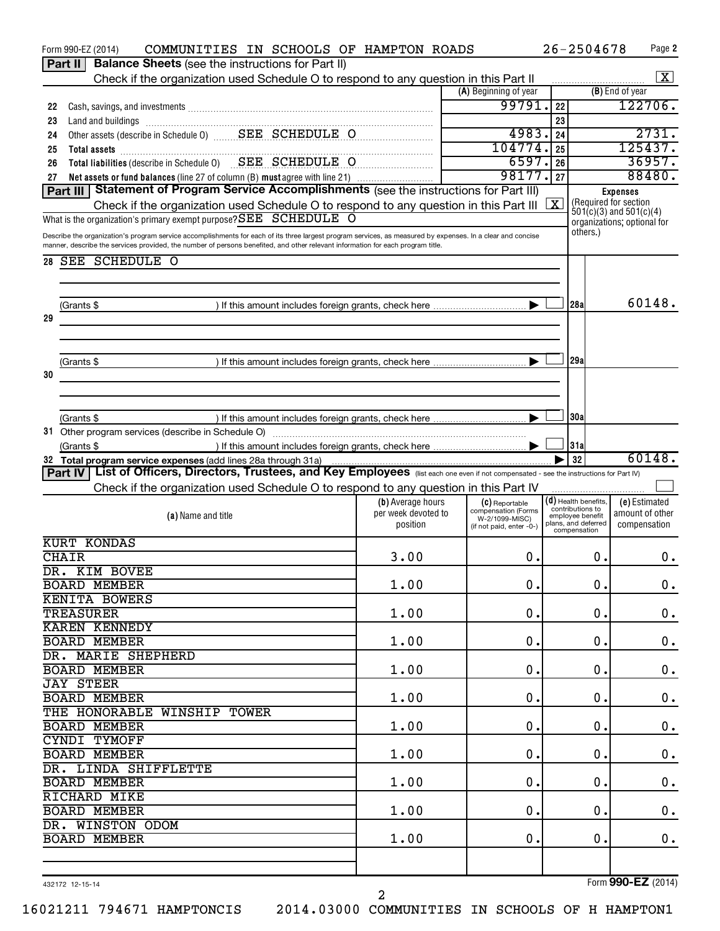|    | COMMUNITIES IN SCHOOLS OF HAMPTON ROADS<br>Form 990-EZ (2014)                                                                                               |                     |                                       | $26 - 2504678$                       |          | Page 2                                                     |
|----|-------------------------------------------------------------------------------------------------------------------------------------------------------------|---------------------|---------------------------------------|--------------------------------------|----------|------------------------------------------------------------|
|    | <b>Balance Sheets</b> (see the instructions for Part II)<br>Part II                                                                                         |                     |                                       |                                      |          |                                                            |
|    | Check if the organization used Schedule O to respond to any question in this Part II                                                                        |                     |                                       |                                      |          | X                                                          |
|    |                                                                                                                                                             |                     | (A) Beginning of year                 |                                      |          | (B) End of year                                            |
| 22 |                                                                                                                                                             |                     | 99791.                                | 22                                   |          | 122706.                                                    |
| 23 | Land and buildings [11] manufactured and and buildings [11] manufactured and buildings [11] manufactured and buildings                                      |                     |                                       | 23                                   |          |                                                            |
| 24 | Other assets (describe in Schedule 0) _______ SEE SCHEDULE O                                                                                                |                     | 4983.                                 | 24                                   |          | 2731.                                                      |
| 25 | Total assets <b>contract the contract of the contract of a</b>                                                                                              |                     | 104774.                               | 25                                   |          | 125437.                                                    |
| 26 | Total liabilities (describe in Schedule 0) SEE SCHEDULE O                                                                                                   |                     | 6597.                                 | 26                                   |          | 36957.                                                     |
| 27 | Net assets or fund balances (line 27 of column (B) must agree with line 21)                                                                                 |                     | 98177.                                | 27                                   |          | 88480.                                                     |
|    | Part III   Statement of Program Service Accomplishments (see the instructions for Part III)                                                                 |                     |                                       |                                      |          | <b>Expenses</b>                                            |
|    | Check if the organization used Schedule O to respond to any question in this Part III                                                                       |                     |                                       | X                                    |          | (Required for section                                      |
|    | What is the organization's primary exempt purpose? SEE SCHEDULE O                                                                                           |                     |                                       |                                      |          | $501(c)(3)$ and $501(c)(4)$<br>organizations; optional for |
|    | Describe the organization's program service accomplishments for each of its three largest program services, as measured by expenses. In a clear and concise |                     |                                       |                                      | others.) |                                                            |
|    | manner, describe the services provided, the number of persons benefited, and other relevant information for each program title.                             |                     |                                       |                                      |          |                                                            |
| 28 | SEE SCHEDULE O                                                                                                                                              |                     |                                       |                                      |          |                                                            |
|    |                                                                                                                                                             |                     |                                       |                                      |          |                                                            |
|    |                                                                                                                                                             |                     |                                       |                                      |          |                                                            |
|    |                                                                                                                                                             |                     |                                       | 28a                                  |          | 60148.                                                     |
|    | (Grants \$                                                                                                                                                  |                     |                                       |                                      |          |                                                            |
| 29 |                                                                                                                                                             |                     |                                       |                                      |          |                                                            |
|    |                                                                                                                                                             |                     |                                       |                                      |          |                                                            |
|    |                                                                                                                                                             |                     |                                       |                                      |          |                                                            |
|    | (Grants \$                                                                                                                                                  |                     |                                       | 29a                                  |          |                                                            |
| 30 |                                                                                                                                                             |                     |                                       |                                      |          |                                                            |
|    |                                                                                                                                                             |                     |                                       |                                      |          |                                                            |
|    |                                                                                                                                                             |                     |                                       |                                      |          |                                                            |
|    | (Grants \$                                                                                                                                                  |                     |                                       | 30a                                  |          |                                                            |
|    |                                                                                                                                                             |                     |                                       |                                      |          |                                                            |
|    | (Grants \$                                                                                                                                                  |                     |                                       | 31a                                  |          |                                                            |
|    | 32 Total program service expenses (add lines 28a through 31a)                                                                                               |                     |                                       | 32                                   |          | 60148.                                                     |
|    |                                                                                                                                                             |                     |                                       |                                      |          |                                                            |
|    | List of Officers, Directors, Trustees, and Key Employees (list each one even if not compensated - see the instructions for Part IV)<br>Part IV              |                     |                                       |                                      |          |                                                            |
|    | Check if the organization used Schedule O to respond to any question in this Part IV                                                                        |                     |                                       |                                      |          |                                                            |
|    |                                                                                                                                                             | (b) Average hours   | (C) Reportable                        | $(d)$ Health benefits,               |          | (e) Estimated                                              |
|    | (a) Name and title                                                                                                                                          | per week devoted to | compensation (Forms<br>W-2/1099-MISC) | contributions to<br>employee benefit |          | amount of other                                            |
|    |                                                                                                                                                             | position            | (if not paid, enter -0-)              | plans, and deferred<br>compensation  |          | compensation                                               |
|    | <b>KURT KONDAS</b>                                                                                                                                          |                     |                                       |                                      |          |                                                            |
|    | <b>CHAIR</b>                                                                                                                                                | 3.00                | 0.                                    |                                      | 0.       | 0.                                                         |
|    | DR. KIM BOVEE                                                                                                                                               |                     |                                       |                                      |          |                                                            |
|    | <b>BOARD MEMBER</b>                                                                                                                                         | 1.00                | 0.                                    |                                      | 0.       | 0.                                                         |
|    | <b>KENITA BOWERS</b>                                                                                                                                        |                     |                                       |                                      |          |                                                            |
|    | <b>TREASURER</b>                                                                                                                                            | 1.00                | 0.                                    |                                      | 0.       | $\boldsymbol{0}$ .                                         |
|    | <b>KAREN KENNEDY</b>                                                                                                                                        |                     |                                       |                                      |          |                                                            |
|    | <b>BOARD MEMBER</b>                                                                                                                                         | 1.00                | 0.                                    |                                      | 0.       | $\mathbf 0$ .                                              |
|    | DR. MARIE SHEPHERD                                                                                                                                          |                     |                                       |                                      |          |                                                            |
|    | <b>BOARD MEMBER</b>                                                                                                                                         | 1.00                | 0.                                    |                                      | 0.       |                                                            |
|    | <b>JAY STEER</b>                                                                                                                                            |                     |                                       |                                      |          | $\mathbf 0$ .                                              |
|    |                                                                                                                                                             |                     |                                       |                                      |          |                                                            |
|    | <b>BOARD MEMBER</b>                                                                                                                                         | 1.00                | 0.                                    |                                      | 0.       | $\mathbf 0$ .                                              |
|    | THE HONORABLE WINSHIP TOWER                                                                                                                                 |                     |                                       |                                      |          |                                                            |
|    | <b>BOARD MEMBER</b>                                                                                                                                         | 1.00                | 0.                                    |                                      | 0.       | $\mathbf 0$ .                                              |
|    | CYNDI TYMOFF                                                                                                                                                |                     |                                       |                                      |          |                                                            |
|    | <b>BOARD MEMBER</b>                                                                                                                                         | 1.00                | $\mathbf 0$ .                         |                                      | 0.       | $\mathbf 0$ .                                              |
|    | DR. LINDA SHIFFLETTE                                                                                                                                        |                     |                                       |                                      |          |                                                            |
|    | <b>BOARD MEMBER</b>                                                                                                                                         | 1.00                | 0.                                    |                                      | 0.       | $\mathbf 0$ .                                              |
|    | RICHARD MIKE                                                                                                                                                |                     |                                       |                                      |          |                                                            |
|    | <b>BOARD MEMBER</b>                                                                                                                                         | 1.00                | 0.                                    |                                      | 0.       | $\mathbf 0$ .                                              |
|    | DR. WINSTON ODOM                                                                                                                                            |                     |                                       |                                      |          |                                                            |
|    | <b>BOARD MEMBER</b>                                                                                                                                         | 1.00                | О.                                    |                                      | 0.       | $\mathbf 0$ .                                              |
|    |                                                                                                                                                             |                     |                                       |                                      |          |                                                            |
|    |                                                                                                                                                             |                     |                                       |                                      |          |                                                            |
|    | 432172 12-15-14                                                                                                                                             | $\overline{2}$      |                                       |                                      |          | Form 990-EZ (2014)                                         |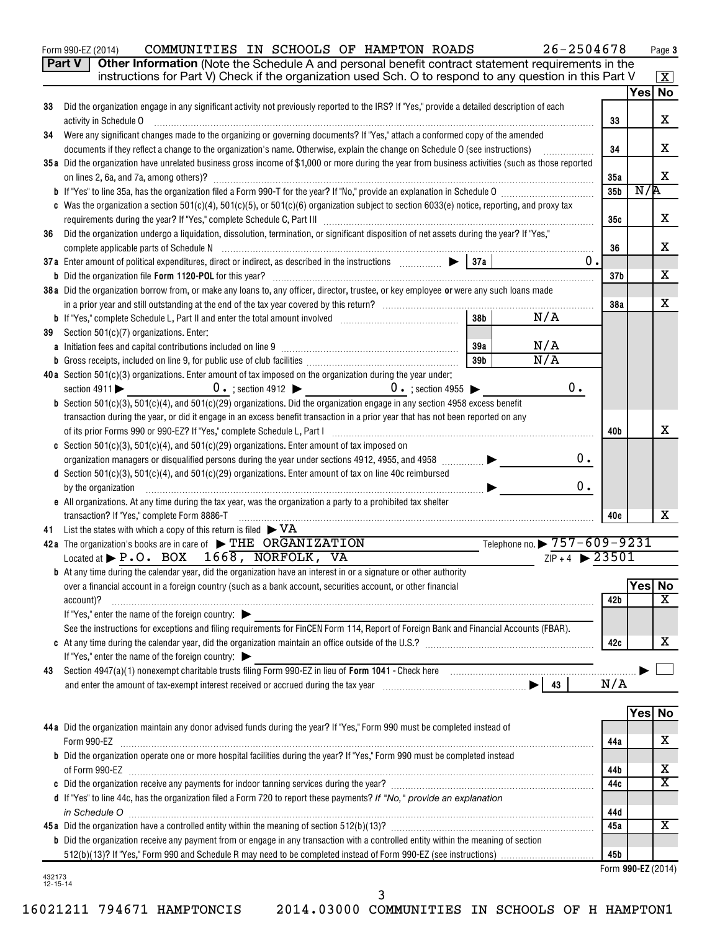Form 990-EZ (2014) COMMUNITIES IN SCHOOLS OF HAMPTON ROADS  $26-2504678$  Page

**3**

|    | Part V<br>Other Information (Note the Schedule A and personal benefit contract statement requirements in the<br>instructions for Part V) Check if the organization used Sch. O to respond to any question in this Part V                                                           |                 |         | $\vert X \vert$         |
|----|------------------------------------------------------------------------------------------------------------------------------------------------------------------------------------------------------------------------------------------------------------------------------------|-----------------|---------|-------------------------|
|    |                                                                                                                                                                                                                                                                                    |                 |         | Yes No                  |
| 33 | Did the organization engage in any significant activity not previously reported to the IRS? If "Yes," provide a detailed description of each                                                                                                                                       |                 |         |                         |
|    | activity in Schedule O                                                                                                                                                                                                                                                             | 33              |         | X                       |
| 34 | Were any significant changes made to the organizing or governing documents? If "Yes," attach a conformed copy of the amended                                                                                                                                                       |                 |         | х                       |
|    | documents if they reflect a change to the organization's name. Otherwise, explain the change on Schedule O (see instructions)<br>35a Did the organization have unrelated business gross income of \$1,000 or more during the year from business activities (such as those reported | 34              |         |                         |
|    |                                                                                                                                                                                                                                                                                    | 35a             |         | X                       |
|    |                                                                                                                                                                                                                                                                                    | 35 <sub>b</sub> | N/R     |                         |
|    | c Was the organization a section 501(c)(4), 501(c)(5), or 501(c)(6) organization subject to section 6033(e) notice, reporting, and proxy tax                                                                                                                                       |                 |         |                         |
|    |                                                                                                                                                                                                                                                                                    | 35c             |         | х                       |
| 36 | Did the organization undergo a liquidation, dissolution, termination, or significant disposition of net assets during the year? If "Yes,"                                                                                                                                          |                 |         |                         |
|    |                                                                                                                                                                                                                                                                                    | 36              |         | х                       |
|    | 0.                                                                                                                                                                                                                                                                                 |                 |         |                         |
|    |                                                                                                                                                                                                                                                                                    | 37 <sub>b</sub> |         | х                       |
|    | 38 a Did the organization borrow from, or make any loans to, any officer, director, trustee, or key employee or were any such loans made                                                                                                                                           |                 |         |                         |
|    |                                                                                                                                                                                                                                                                                    | 38a             |         | х                       |
|    | N/A<br>38 <sub>b</sub>                                                                                                                                                                                                                                                             |                 |         |                         |
| 39 | Section 501(c)(7) organizations. Enter:<br>N/A<br>39a                                                                                                                                                                                                                              |                 |         |                         |
|    | N/A<br>39b                                                                                                                                                                                                                                                                         |                 |         |                         |
|    | 40a Section 501(c)(3) organizations. Enter amount of tax imposed on the organization during the year under:                                                                                                                                                                        |                 |         |                         |
|    | $0 \cdot$ ; section 4912 $\bullet$ 0 $\cdot$ ; section 4955 $\bullet$<br>0.<br>section $4911$                                                                                                                                                                                      |                 |         |                         |
|    | <b>b</b> Section $501(c)(3)$ , $501(c)(4)$ , and $501(c)(29)$ organizations. Did the organization engage in any section 4958 excess benefit                                                                                                                                        |                 |         |                         |
|    | transaction during the year, or did it engage in an excess benefit transaction in a prior year that has not been reported on any                                                                                                                                                   |                 |         |                         |
|    |                                                                                                                                                                                                                                                                                    | 40b             |         | х                       |
|    | c Section 501(c)(3), 501(c)(4), and 501(c)(29) organizations. Enter amount of tax imposed on                                                                                                                                                                                       |                 |         |                         |
|    | 0.<br>organization managers or disqualified persons during the year under sections 4912, 4955, and 4958                                                                                                                                                                            |                 |         |                         |
|    | d Section 501(c)(3), 501(c)(4), and 501(c)(29) organizations. Enter amount of tax on line 40c reimbursed                                                                                                                                                                           |                 |         |                         |
|    | 0.<br>by the organization                                                                                                                                                                                                                                                          |                 |         |                         |
|    | e All organizations. At any time during the tax year, was the organization a party to a prohibited tax shelter                                                                                                                                                                     |                 |         |                         |
|    | transaction? If "Yes," complete Form 8886-T                                                                                                                                                                                                                                        | 40 <sub>e</sub> |         | х                       |
|    | 41 List the states with which a copy of this return is filed $\blacktriangleright$ VA                                                                                                                                                                                              |                 |         |                         |
|    | Telephone no. ▶ 757-609-9231<br>42a The organization's books are in care of $\blacktriangleright$ THE ORGANIZATION<br>$ZIP + 4$ 23501                                                                                                                                              |                 |         |                         |
|    | Located at $\blacktriangleright$ P.O. BOX 1668, NORFOLK, VA                                                                                                                                                                                                                        |                 |         |                         |
|    | <b>b</b> At any time during the calendar year, did the organization have an interest in or a signature or other authority<br>over a financial account in a foreign country (such as a bank account, securities account, or other financial                                         |                 | Yes No  |                         |
|    | account)?                                                                                                                                                                                                                                                                          | 42b             |         | $\overline{\mathbf{X}}$ |
|    | If "Yes," enter the name of the foreign country: $\blacktriangleright$                                                                                                                                                                                                             |                 |         |                         |
|    | See the instructions for exceptions and filing requirements for FinCEN Form 114, Report of Foreign Bank and Financial Accounts (FBAR).                                                                                                                                             |                 |         |                         |
|    |                                                                                                                                                                                                                                                                                    | 42c             |         | х                       |
|    | If "Yes," enter the name of the foreign country: $\blacktriangleright$                                                                                                                                                                                                             |                 |         |                         |
| 43 | Section 4947(a)(1) nonexempt charitable trusts filing Form 990-EZ in lieu of Form 1041 - Check here manufactured and the manufactured with the section 4947(a)(1) nonexempt charitable trusts filing Form 990-EZ in lieu of Fo                                                     |                 |         |                         |
|    |                                                                                                                                                                                                                                                                                    | N/A             |         |                         |
|    |                                                                                                                                                                                                                                                                                    |                 |         |                         |
|    |                                                                                                                                                                                                                                                                                    |                 | Yes  No |                         |
|    | 44 a Did the organization maintain any donor advised funds during the year? If "Yes," Form 990 must be completed instead of                                                                                                                                                        |                 |         |                         |
|    | Form 990-EZ                                                                                                                                                                                                                                                                        | 44a             |         | х                       |
|    | <b>b</b> Did the organization operate one or more hospital facilities during the year? If "Yes," Form 990 must be completed instead                                                                                                                                                |                 |         | х                       |
|    |                                                                                                                                                                                                                                                                                    | 44b<br>44c      |         | $\overline{\mathbf{X}}$ |
|    | d If "Yes" to line 44c, has the organization filed a Form 720 to report these payments? If "No," provide an explanation                                                                                                                                                            |                 |         |                         |
|    | in Schedule O                                                                                                                                                                                                                                                                      | 44d             |         |                         |
|    |                                                                                                                                                                                                                                                                                    | 45a             |         | x                       |
|    | <b>b</b> Did the organization receive any payment from or engage in any transaction with a controlled entity within the meaning of section                                                                                                                                         |                 |         |                         |
|    |                                                                                                                                                                                                                                                                                    |                 |         |                         |
|    |                                                                                                                                                                                                                                                                                    | 45b             |         |                         |

3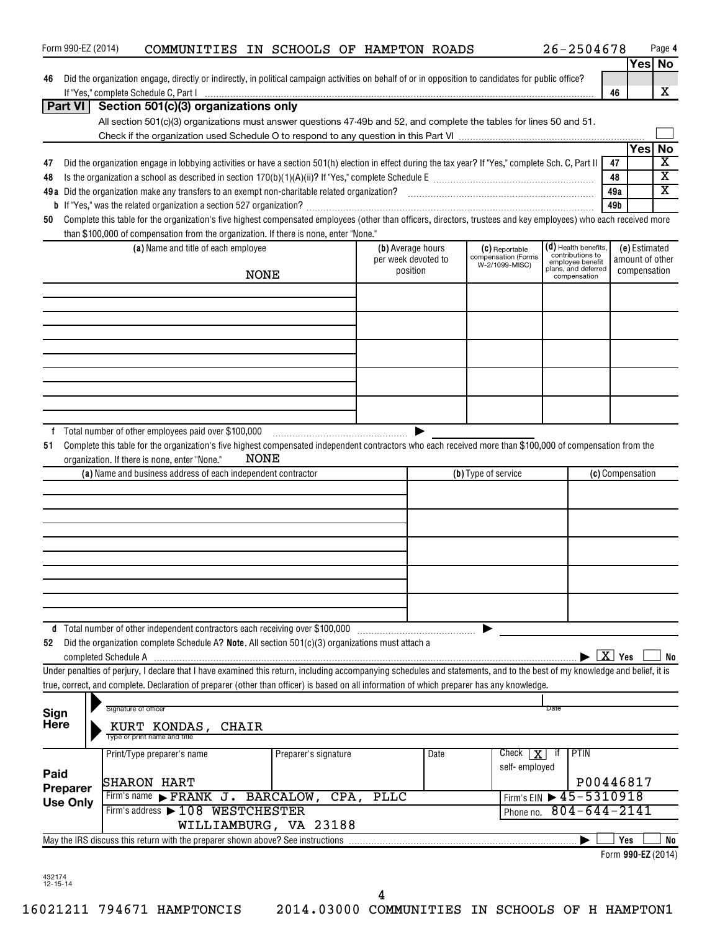| Form 990-EZ (2014) | COMMUNITIES IN SCHOOLS OF HAMPTON ROADS                                                                                                                                                                                                                    |                      |             |                     |                                       | $26 - 2504678$                         |                    | Page 4                                           |
|--------------------|------------------------------------------------------------------------------------------------------------------------------------------------------------------------------------------------------------------------------------------------------------|----------------------|-------------|---------------------|---------------------------------------|----------------------------------------|--------------------|--------------------------------------------------|
|                    |                                                                                                                                                                                                                                                            |                      |             |                     |                                       |                                        |                    | Yes No                                           |
| 46                 | Did the organization engage, directly or indirectly, in political campaign activities on behalf of or in opposition to candidates for public office?                                                                                                       |                      |             |                     |                                       |                                        |                    |                                                  |
|                    | If "Yes," complete Schedule C, Part I with the commission of the comparison of the complete Schedule C, Part I                                                                                                                                             |                      |             |                     |                                       |                                        | 46                 | X                                                |
| <b>Part VI</b>     | Section 501(c)(3) organizations only                                                                                                                                                                                                                       |                      |             |                     |                                       |                                        |                    |                                                  |
|                    | All section 501(c)(3) organizations must answer questions 47-49b and 52, and complete the tables for lines 50 and 51.                                                                                                                                      |                      |             |                     |                                       |                                        |                    |                                                  |
|                    |                                                                                                                                                                                                                                                            |                      |             |                     |                                       |                                        |                    |                                                  |
|                    |                                                                                                                                                                                                                                                            |                      |             |                     |                                       |                                        | Yes                | <b>No</b>                                        |
| 47                 | Did the organization engage in lobbying activities or have a section 501(h) election in effect during the tax year? If "Yes," complete Sch. C, Part II                                                                                                     |                      |             |                     |                                       |                                        | 47                 | $\overline{\text{x}}$<br>$\overline{\texttt{x}}$ |
| 48                 |                                                                                                                                                                                                                                                            |                      |             |                     |                                       |                                        | 48                 | $\overline{\mathtt{x}}$                          |
|                    |                                                                                                                                                                                                                                                            |                      |             |                     |                                       |                                        | 49a                |                                                  |
|                    |                                                                                                                                                                                                                                                            |                      |             |                     |                                       |                                        | 49b                |                                                  |
| 50                 | Complete this table for the organization's five highest compensated employees (other than officers, directors, trustees and key employees) who each received more<br>than \$100,000 of compensation from the organization. If there is none, enter "None." |                      |             |                     |                                       |                                        |                    |                                                  |
|                    | (a) Name and title of each employee                                                                                                                                                                                                                        |                      |             | (b) Average hours   |                                       | (d) Health benefits,                   |                    | (e) Estimated                                    |
|                    |                                                                                                                                                                                                                                                            |                      |             | per week devoted to | (C) Reportable<br>compensation (Forms | contributions to<br>employee benefit   |                    | amount of other                                  |
|                    | <b>NONE</b>                                                                                                                                                                                                                                                |                      |             | position            | W-2/1099-MISC)                        | plans, and deferred<br>compensation    |                    | compensation                                     |
|                    |                                                                                                                                                                                                                                                            |                      |             |                     |                                       |                                        |                    |                                                  |
|                    |                                                                                                                                                                                                                                                            |                      |             |                     |                                       |                                        |                    |                                                  |
|                    |                                                                                                                                                                                                                                                            |                      |             |                     |                                       |                                        |                    |                                                  |
|                    |                                                                                                                                                                                                                                                            |                      |             |                     |                                       |                                        |                    |                                                  |
|                    |                                                                                                                                                                                                                                                            |                      |             |                     |                                       |                                        |                    |                                                  |
|                    |                                                                                                                                                                                                                                                            |                      |             |                     |                                       |                                        |                    |                                                  |
|                    |                                                                                                                                                                                                                                                            |                      |             |                     |                                       |                                        |                    |                                                  |
|                    |                                                                                                                                                                                                                                                            |                      |             |                     |                                       |                                        |                    |                                                  |
|                    |                                                                                                                                                                                                                                                            |                      |             |                     |                                       |                                        |                    |                                                  |
|                    |                                                                                                                                                                                                                                                            |                      |             |                     |                                       |                                        |                    |                                                  |
|                    | NONE<br>organization. If there is none, enter "None."<br>(a) Name and business address of each independent contractor                                                                                                                                      |                      |             |                     | (b) Type of service                   |                                        | (c) Compensation   |                                                  |
|                    |                                                                                                                                                                                                                                                            |                      |             |                     |                                       |                                        |                    |                                                  |
|                    |                                                                                                                                                                                                                                                            |                      |             |                     |                                       |                                        |                    |                                                  |
|                    |                                                                                                                                                                                                                                                            |                      |             |                     |                                       |                                        |                    |                                                  |
|                    |                                                                                                                                                                                                                                                            |                      |             |                     |                                       |                                        |                    |                                                  |
|                    |                                                                                                                                                                                                                                                            |                      |             |                     |                                       |                                        |                    |                                                  |
| d                  |                                                                                                                                                                                                                                                            |                      |             |                     |                                       |                                        |                    |                                                  |
| 52                 | Did the organization complete Schedule A? Note. All section 501(c)(3) organizations must attach a                                                                                                                                                          |                      |             |                     |                                       |                                        |                    |                                                  |
|                    |                                                                                                                                                                                                                                                            |                      |             |                     |                                       |                                        | $\overline{X}$ Yes | No                                               |
|                    | Under penalties of perjury, I declare that I have examined this return, including accompanying schedules and statements, and to the best of my knowledge and belief, it is                                                                                 |                      |             |                     |                                       |                                        |                    |                                                  |
|                    | true, correct, and complete. Declaration of preparer (other than officer) is based on all information of which preparer has any knowledge.                                                                                                                 |                      |             |                     |                                       |                                        |                    |                                                  |
|                    |                                                                                                                                                                                                                                                            |                      |             |                     |                                       |                                        |                    |                                                  |
| Sign               | Signature of officer                                                                                                                                                                                                                                       |                      |             |                     |                                       | Date                                   |                    |                                                  |
| <b>Here</b>        | KURT KONDAS, CHAIR<br>Type or print name and title                                                                                                                                                                                                         |                      |             |                     |                                       |                                        |                    |                                                  |
|                    | Print/Type preparer's name                                                                                                                                                                                                                                 | Preparer's signature |             | Date                | Check<br>X<br>self-employed           | <b>PTIN</b><br>ा                       |                    |                                                  |
| Paid               |                                                                                                                                                                                                                                                            |                      |             |                     |                                       |                                        | P00446817          |                                                  |
| Preparer           | SHARON HART<br>Firm's name FRANK J. BARCALOW, CPA,                                                                                                                                                                                                         |                      | <b>PLLC</b> |                     |                                       | Firm's EIN $\triangleright$ 45-5310918 |                    |                                                  |
| <b>Use Only</b>    | Firm's address > 108 WESTCHESTER                                                                                                                                                                                                                           |                      |             |                     |                                       | $804 - 644 - 2141$                     |                    |                                                  |
|                    | WILLIAMBURG, VA 23188                                                                                                                                                                                                                                      |                      |             |                     | Phone no.                             |                                        |                    |                                                  |
|                    |                                                                                                                                                                                                                                                            |                      |             |                     |                                       |                                        | Yes                | No                                               |
|                    |                                                                                                                                                                                                                                                            |                      |             |                     |                                       |                                        |                    |                                                  |
|                    |                                                                                                                                                                                                                                                            |                      |             |                     |                                       |                                        | Form 990-EZ (2014) |                                                  |

432174 12-15-14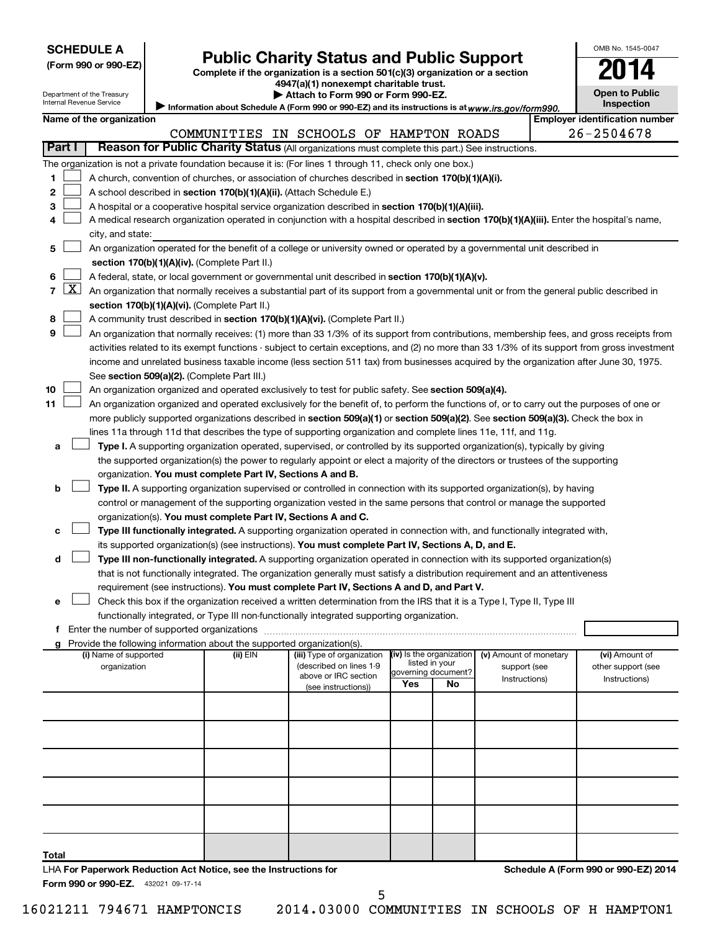|  | <b>SCHEDULE A</b> |  |
|--|-------------------|--|
|  |                   |  |

# Form 990 or 990-EZ) **Public Charity Status and Public Support**<br>
Complete if the organization is a section 501(c)(3) organization or a section<br> **2014**

**4947(a)(1) nonexempt charitable trust.**

**| Attach to Form 990 or Form 990-EZ.** 

| <b>Open to Public</b><br><b>Inspection</b> |  |
|--------------------------------------------|--|

OMB No. 1545-0047

| Department of the Treasury | $\blacktriangleright$ Attach to Form 990 or Form 990-EZ.                                   |
|----------------------------|--------------------------------------------------------------------------------------------|
| Internal Revenue Service   | Information about Schedule A (Form 990 or 990-EZ) and its instructions is at www.irs.gov/f |
|                            |                                                                                            |

|              |                                                                   | internal Revenue Service                    |  |                                                                          | Information about Schedule A (Form 990 or 990-EZ) and its instructions is at www.irs.gov/form990.                                          |                                       |    |                        |  | <b>Inspection</b>                                                                                                                             |
|--------------|-------------------------------------------------------------------|---------------------------------------------|--|--------------------------------------------------------------------------|--------------------------------------------------------------------------------------------------------------------------------------------|---------------------------------------|----|------------------------|--|-----------------------------------------------------------------------------------------------------------------------------------------------|
|              | Name of the organization<br><b>Employer identification number</b> |                                             |  |                                                                          |                                                                                                                                            |                                       |    |                        |  |                                                                                                                                               |
|              |                                                                   |                                             |  |                                                                          | COMMUNITIES IN SCHOOLS OF HAMPTON ROADS                                                                                                    |                                       |    |                        |  | 26-2504678                                                                                                                                    |
|              | <b>Part I</b>                                                     |                                             |  |                                                                          | Reason for Public Charity Status (All organizations must complete this part.) See instructions.                                            |                                       |    |                        |  |                                                                                                                                               |
|              |                                                                   |                                             |  |                                                                          | The organization is not a private foundation because it is: (For lines 1 through 11, check only one box.)                                  |                                       |    |                        |  |                                                                                                                                               |
| 1.           |                                                                   |                                             |  |                                                                          | A church, convention of churches, or association of churches described in section 170(b)(1)(A)(i).                                         |                                       |    |                        |  |                                                                                                                                               |
| 2            |                                                                   |                                             |  | A school described in section 170(b)(1)(A)(ii). (Attach Schedule E.)     |                                                                                                                                            |                                       |    |                        |  |                                                                                                                                               |
| 3            |                                                                   |                                             |  |                                                                          | A hospital or a cooperative hospital service organization described in section 170(b)(1)(A)(iii).                                          |                                       |    |                        |  |                                                                                                                                               |
| 4            |                                                                   |                                             |  |                                                                          | A medical research organization operated in conjunction with a hospital described in section 170(b)(1)(A)(iii). Enter the hospital's name, |                                       |    |                        |  |                                                                                                                                               |
|              |                                                                   | city, and state:                            |  |                                                                          |                                                                                                                                            |                                       |    |                        |  |                                                                                                                                               |
| 5            |                                                                   |                                             |  |                                                                          | An organization operated for the benefit of a college or university owned or operated by a governmental unit described in                  |                                       |    |                        |  |                                                                                                                                               |
|              |                                                                   |                                             |  | section 170(b)(1)(A)(iv). (Complete Part II.)                            |                                                                                                                                            |                                       |    |                        |  |                                                                                                                                               |
| 6            |                                                                   |                                             |  |                                                                          | A federal, state, or local government or governmental unit described in section 170(b)(1)(A)(v).                                           |                                       |    |                        |  |                                                                                                                                               |
| $\mathbf{7}$ | <u>x  </u>                                                        |                                             |  |                                                                          | An organization that normally receives a substantial part of its support from a governmental unit or from the general public described in  |                                       |    |                        |  |                                                                                                                                               |
|              |                                                                   |                                             |  | section 170(b)(1)(A)(vi). (Complete Part II.)                            |                                                                                                                                            |                                       |    |                        |  |                                                                                                                                               |
| 8            |                                                                   |                                             |  |                                                                          | A community trust described in section 170(b)(1)(A)(vi). (Complete Part II.)                                                               |                                       |    |                        |  |                                                                                                                                               |
| 9            |                                                                   |                                             |  |                                                                          | An organization that normally receives: (1) more than 33 1/3% of its support from contributions, membership fees, and gross receipts from  |                                       |    |                        |  |                                                                                                                                               |
|              |                                                                   |                                             |  |                                                                          |                                                                                                                                            |                                       |    |                        |  | activities related to its exempt functions - subject to certain exceptions, and (2) no more than 33 1/3% of its support from gross investment |
|              |                                                                   |                                             |  |                                                                          | income and unrelated business taxable income (less section 511 tax) from businesses acquired by the organization after June 30, 1975.      |                                       |    |                        |  |                                                                                                                                               |
|              |                                                                   |                                             |  | See section 509(a)(2). (Complete Part III.)                              |                                                                                                                                            |                                       |    |                        |  |                                                                                                                                               |
| 10           |                                                                   |                                             |  |                                                                          | An organization organized and operated exclusively to test for public safety. See section 509(a)(4).                                       |                                       |    |                        |  |                                                                                                                                               |
| 11           |                                                                   |                                             |  |                                                                          | An organization organized and operated exclusively for the benefit of, to perform the functions of, or to carry out the purposes of one or |                                       |    |                        |  |                                                                                                                                               |
|              |                                                                   |                                             |  |                                                                          | more publicly supported organizations described in section 509(a)(1) or section 509(a)(2). See section 509(a)(3). Check the box in         |                                       |    |                        |  |                                                                                                                                               |
|              |                                                                   |                                             |  |                                                                          | lines 11a through 11d that describes the type of supporting organization and complete lines 11e, 11f, and 11g.                             |                                       |    |                        |  |                                                                                                                                               |
| а            |                                                                   |                                             |  |                                                                          | <b>Type I.</b> A supporting organization operated, supervised, or controlled by its supported organization(s), typically by giving         |                                       |    |                        |  |                                                                                                                                               |
|              |                                                                   |                                             |  |                                                                          | the supported organization(s) the power to regularly appoint or elect a majority of the directors or trustees of the supporting            |                                       |    |                        |  |                                                                                                                                               |
|              |                                                                   |                                             |  | organization. You must complete Part IV, Sections A and B.               |                                                                                                                                            |                                       |    |                        |  |                                                                                                                                               |
| b            |                                                                   |                                             |  |                                                                          | Type II. A supporting organization supervised or controlled in connection with its supported organization(s), by having                    |                                       |    |                        |  |                                                                                                                                               |
|              |                                                                   |                                             |  | organization(s). You must complete Part IV, Sections A and C.            | control or management of the supporting organization vested in the same persons that control or manage the supported                       |                                       |    |                        |  |                                                                                                                                               |
|              |                                                                   |                                             |  |                                                                          | Type III functionally integrated. A supporting organization operated in connection with, and functionally integrated with,                 |                                       |    |                        |  |                                                                                                                                               |
| с            |                                                                   |                                             |  |                                                                          | its supported organization(s) (see instructions). You must complete Part IV, Sections A, D, and E.                                         |                                       |    |                        |  |                                                                                                                                               |
| d            |                                                                   |                                             |  |                                                                          | Type III non-functionally integrated. A supporting organization operated in connection with its supported organization(s)                  |                                       |    |                        |  |                                                                                                                                               |
|              |                                                                   |                                             |  |                                                                          | that is not functionally integrated. The organization generally must satisfy a distribution requirement and an attentiveness               |                                       |    |                        |  |                                                                                                                                               |
|              |                                                                   |                                             |  |                                                                          | requirement (see instructions). You must complete Part IV, Sections A and D, and Part V.                                                   |                                       |    |                        |  |                                                                                                                                               |
| е            |                                                                   |                                             |  |                                                                          | Check this box if the organization received a written determination from the IRS that it is a Type I, Type II, Type III                    |                                       |    |                        |  |                                                                                                                                               |
|              |                                                                   |                                             |  |                                                                          | functionally integrated, or Type III non-functionally integrated supporting organization.                                                  |                                       |    |                        |  |                                                                                                                                               |
|              |                                                                   | Enter the number of supported organizations |  |                                                                          |                                                                                                                                            |                                       |    |                        |  |                                                                                                                                               |
|              |                                                                   |                                             |  | g Provide the following information about the supported organization(s). |                                                                                                                                            |                                       |    |                        |  |                                                                                                                                               |
|              |                                                                   | (i) Name of supported                       |  | (ii) EIN                                                                 | (iii) Type of organization                                                                                                                 | (iv) Is the organization              |    | (v) Amount of monetary |  | (vi) Amount of                                                                                                                                |
|              |                                                                   | organization                                |  |                                                                          | (described on lines 1-9<br>above or IRC section                                                                                            | listed in your<br>governing document? |    | support (see           |  | other support (see                                                                                                                            |
|              |                                                                   |                                             |  |                                                                          | (see instructions))                                                                                                                        | Yes                                   | No | Instructions)          |  | Instructions)                                                                                                                                 |
|              |                                                                   |                                             |  |                                                                          |                                                                                                                                            |                                       |    |                        |  |                                                                                                                                               |
|              |                                                                   |                                             |  |                                                                          |                                                                                                                                            |                                       |    |                        |  |                                                                                                                                               |
|              |                                                                   |                                             |  |                                                                          |                                                                                                                                            |                                       |    |                        |  |                                                                                                                                               |
|              |                                                                   |                                             |  |                                                                          |                                                                                                                                            |                                       |    |                        |  |                                                                                                                                               |
|              |                                                                   |                                             |  |                                                                          |                                                                                                                                            |                                       |    |                        |  |                                                                                                                                               |
|              |                                                                   |                                             |  |                                                                          |                                                                                                                                            |                                       |    |                        |  |                                                                                                                                               |
|              |                                                                   |                                             |  |                                                                          |                                                                                                                                            |                                       |    |                        |  |                                                                                                                                               |

**Schedule A (Form 990 or 990-EZ) 2014**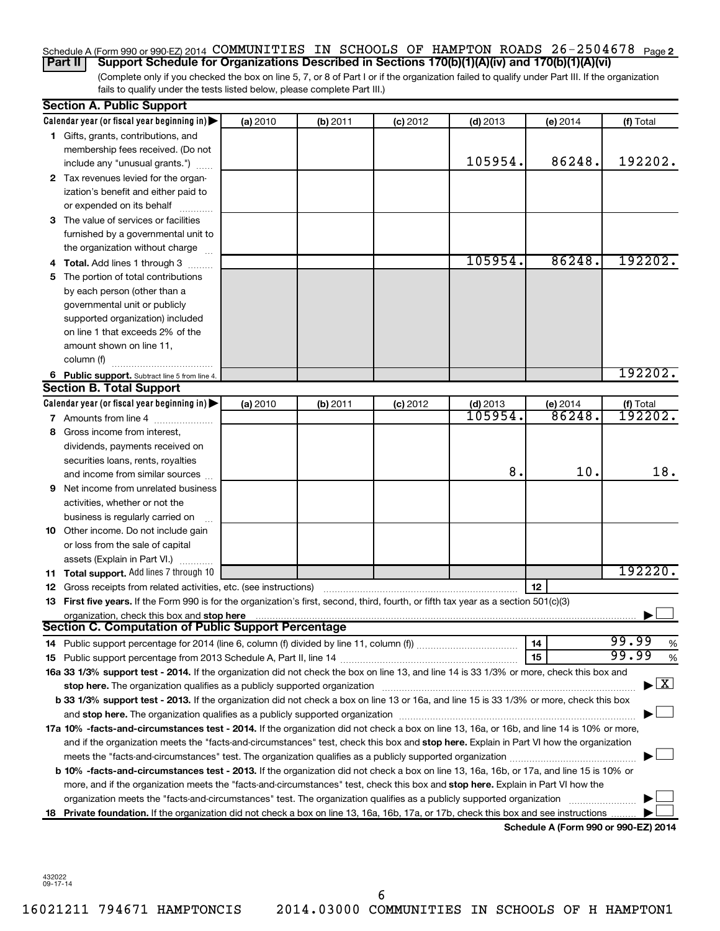### Schedule A (Form 990 or 990-EZ) 2014 COMMUNITIES IN SCHOOLS OF HAMPTON ROADS 26-2504678 <sub>Page 2</sub> **Part II Support Schedule for Organizations Described in Sections 170(b)(1)(A)(iv) and 170(b)(1)(A)(vi)**

(Complete only if you checked the box on line 5, 7, or 8 of Part I or if the organization failed to qualify under Part III. If the organization fails to qualify under the tests listed below, please complete Part III.)

|    | <b>Section A. Public Support</b>                                                                                                                                                                                                                                                                  |          |          |            |            |                                      |                                    |  |  |  |
|----|---------------------------------------------------------------------------------------------------------------------------------------------------------------------------------------------------------------------------------------------------------------------------------------------------|----------|----------|------------|------------|--------------------------------------|------------------------------------|--|--|--|
|    | Calendar year (or fiscal year beginning in)                                                                                                                                                                                                                                                       | (a) 2010 | (b) 2011 | $(c)$ 2012 | $(d)$ 2013 | (e) 2014                             | (f) Total                          |  |  |  |
|    | 1 Gifts, grants, contributions, and                                                                                                                                                                                                                                                               |          |          |            |            |                                      |                                    |  |  |  |
|    | membership fees received. (Do not                                                                                                                                                                                                                                                                 |          |          |            |            |                                      |                                    |  |  |  |
|    | include any "unusual grants.")                                                                                                                                                                                                                                                                    |          |          |            | 105954.    | 86248.                               | 192202.                            |  |  |  |
|    | 2 Tax revenues levied for the organ-                                                                                                                                                                                                                                                              |          |          |            |            |                                      |                                    |  |  |  |
|    | ization's benefit and either paid to                                                                                                                                                                                                                                                              |          |          |            |            |                                      |                                    |  |  |  |
|    | or expended on its behalf                                                                                                                                                                                                                                                                         |          |          |            |            |                                      |                                    |  |  |  |
|    | 3 The value of services or facilities                                                                                                                                                                                                                                                             |          |          |            |            |                                      |                                    |  |  |  |
|    | furnished by a governmental unit to                                                                                                                                                                                                                                                               |          |          |            |            |                                      |                                    |  |  |  |
|    | the organization without charge                                                                                                                                                                                                                                                                   |          |          |            |            |                                      |                                    |  |  |  |
|    | 4 Total. Add lines 1 through 3                                                                                                                                                                                                                                                                    |          |          |            | 105954.    | 86248.                               | 192202.                            |  |  |  |
|    | 5 The portion of total contributions                                                                                                                                                                                                                                                              |          |          |            |            |                                      |                                    |  |  |  |
|    | by each person (other than a                                                                                                                                                                                                                                                                      |          |          |            |            |                                      |                                    |  |  |  |
|    | governmental unit or publicly                                                                                                                                                                                                                                                                     |          |          |            |            |                                      |                                    |  |  |  |
|    | supported organization) included                                                                                                                                                                                                                                                                  |          |          |            |            |                                      |                                    |  |  |  |
|    | on line 1 that exceeds 2% of the                                                                                                                                                                                                                                                                  |          |          |            |            |                                      |                                    |  |  |  |
|    | amount shown on line 11,                                                                                                                                                                                                                                                                          |          |          |            |            |                                      |                                    |  |  |  |
|    | column (f)                                                                                                                                                                                                                                                                                        |          |          |            |            |                                      |                                    |  |  |  |
|    | 6 Public support. Subtract line 5 from line 4.                                                                                                                                                                                                                                                    |          |          |            |            |                                      | 192202.                            |  |  |  |
|    | <b>Section B. Total Support</b>                                                                                                                                                                                                                                                                   |          |          |            |            |                                      |                                    |  |  |  |
|    | Calendar year (or fiscal year beginning in)                                                                                                                                                                                                                                                       | (a) 2010 | (b) 2011 | $(c)$ 2012 | $(d)$ 2013 | (e) 2014                             | (f) Total                          |  |  |  |
|    | 7 Amounts from line 4                                                                                                                                                                                                                                                                             |          |          |            | 105954.    | 86248.                               | 192202.                            |  |  |  |
|    | 8 Gross income from interest,                                                                                                                                                                                                                                                                     |          |          |            |            |                                      |                                    |  |  |  |
|    | dividends, payments received on                                                                                                                                                                                                                                                                   |          |          |            |            |                                      |                                    |  |  |  |
|    | securities loans, rents, royalties                                                                                                                                                                                                                                                                |          |          |            |            |                                      |                                    |  |  |  |
|    | and income from similar sources                                                                                                                                                                                                                                                                   |          |          |            | 8.         | 10.                                  | 18.                                |  |  |  |
|    | <b>9</b> Net income from unrelated business                                                                                                                                                                                                                                                       |          |          |            |            |                                      |                                    |  |  |  |
|    | activities, whether or not the                                                                                                                                                                                                                                                                    |          |          |            |            |                                      |                                    |  |  |  |
|    | business is regularly carried on                                                                                                                                                                                                                                                                  |          |          |            |            |                                      |                                    |  |  |  |
|    | 10 Other income. Do not include gain                                                                                                                                                                                                                                                              |          |          |            |            |                                      |                                    |  |  |  |
|    | or loss from the sale of capital                                                                                                                                                                                                                                                                  |          |          |            |            |                                      |                                    |  |  |  |
|    | assets (Explain in Part VI.)                                                                                                                                                                                                                                                                      |          |          |            |            |                                      |                                    |  |  |  |
|    | 11 Total support. Add lines 7 through 10                                                                                                                                                                                                                                                          |          |          |            |            |                                      | 192220.                            |  |  |  |
|    | <b>12</b> Gross receipts from related activities, etc. (see instructions)                                                                                                                                                                                                                         |          |          |            |            | 12                                   |                                    |  |  |  |
|    | 13 First five years. If the Form 990 is for the organization's first, second, third, fourth, or fifth tax year as a section 501(c)(3)                                                                                                                                                             |          |          |            |            |                                      |                                    |  |  |  |
|    | organization, check this box and stop here <b>construction and construction</b> construction of the state of the state of the state of the state of the state of the state of the state of the state of the state of the state of t<br><b>Section C. Computation of Public Support Percentage</b> |          |          |            |            |                                      |                                    |  |  |  |
|    |                                                                                                                                                                                                                                                                                                   |          |          |            |            |                                      | 99.99                              |  |  |  |
|    |                                                                                                                                                                                                                                                                                                   |          |          |            |            | 14                                   | %<br>99.99                         |  |  |  |
|    |                                                                                                                                                                                                                                                                                                   |          |          |            |            | 15                                   | %                                  |  |  |  |
|    | 16a 33 1/3% support test - 2014. If the organization did not check the box on line 13, and line 14 is 33 1/3% or more, check this box and                                                                                                                                                         |          |          |            |            |                                      | $\blacktriangleright$ $\mathbf{X}$ |  |  |  |
|    | stop here. The organization qualifies as a publicly supported organization manufaction manufacture or the organization manufacture or the organization manufacture or the organization manufacture or the state of the state o                                                                    |          |          |            |            |                                      |                                    |  |  |  |
|    | b 33 1/3% support test - 2013. If the organization did not check a box on line 13 or 16a, and line 15 is 33 1/3% or more, check this box                                                                                                                                                          |          |          |            |            |                                      |                                    |  |  |  |
|    | and stop here. The organization qualifies as a publicly supported organization [11] manuscription manuscription manuscription manuscription manuscription manuscription and starting and starting and starting and starting an                                                                    |          |          |            |            |                                      |                                    |  |  |  |
|    | 17a 10% -facts-and-circumstances test - 2014. If the organization did not check a box on line 13, 16a, or 16b, and line 14 is 10% or more,<br>and if the organization meets the "facts-and-circumstances" test, check this box and stop here. Explain in Part VI how the organization             |          |          |            |            |                                      |                                    |  |  |  |
|    |                                                                                                                                                                                                                                                                                                   |          |          |            |            |                                      |                                    |  |  |  |
|    | <b>b 10%</b> -facts-and-circumstances test - 2013. If the organization did not check a box on line 13, 16a, 16b, or 17a, and line 15 is 10% or                                                                                                                                                    |          |          |            |            |                                      |                                    |  |  |  |
|    | more, and if the organization meets the "facts-and-circumstances" test, check this box and stop here. Explain in Part VI how the                                                                                                                                                                  |          |          |            |            |                                      |                                    |  |  |  |
|    | organization meets the "facts-and-circumstances" test. The organization qualifies as a publicly supported organization                                                                                                                                                                            |          |          |            |            |                                      |                                    |  |  |  |
| 18 | Private foundation. If the organization did not check a box on line 13, 16a, 16b, 17a, or 17b, check this box and see instructions                                                                                                                                                                |          |          |            |            |                                      |                                    |  |  |  |
|    |                                                                                                                                                                                                                                                                                                   |          |          |            |            | Schedule A (Form 990 or 990-EZ) 2014 |                                    |  |  |  |
|    |                                                                                                                                                                                                                                                                                                   |          |          |            |            |                                      |                                    |  |  |  |

432022 09-17-14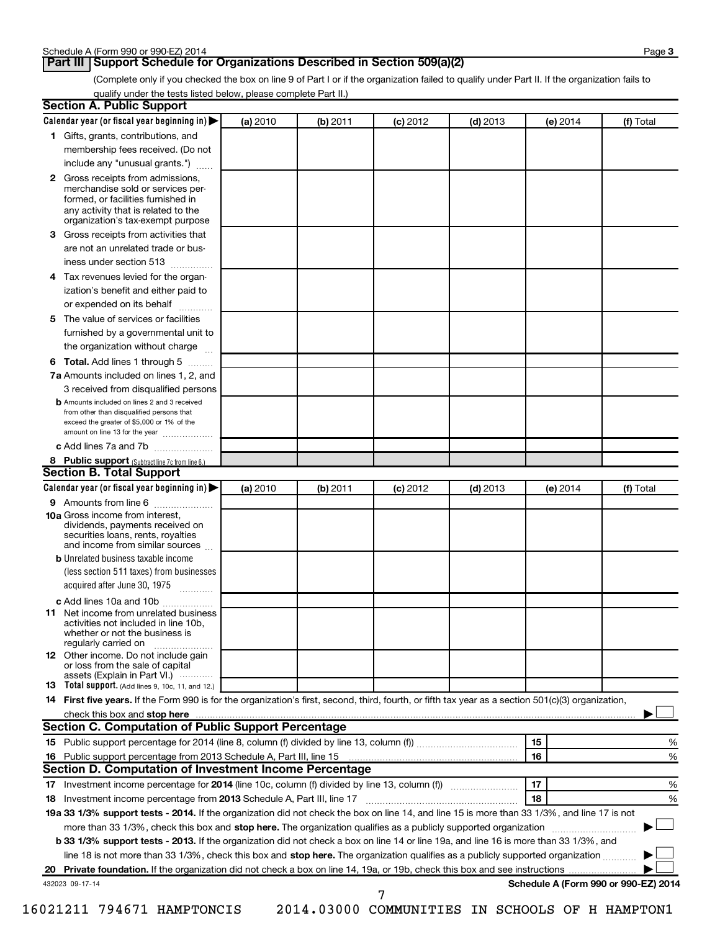### **Part III Support Schedule for Organizations Described in Section 509(a)(2)**

(Complete only if you checked the box on line 9 of Part I or if the organization failed to qualify under Part II. If the organization fails to qualify under the tests listed below, please complete Part II.)

| <b>Section A. Public Support</b>                                                                                                                                                                                         |          |          |            |            |                                      |           |
|--------------------------------------------------------------------------------------------------------------------------------------------------------------------------------------------------------------------------|----------|----------|------------|------------|--------------------------------------|-----------|
| Calendar year (or fiscal year beginning in)                                                                                                                                                                              | (a) 2010 | (b) 2011 | $(c)$ 2012 | $(d)$ 2013 | (e) 2014                             | (f) Total |
| 1 Gifts, grants, contributions, and                                                                                                                                                                                      |          |          |            |            |                                      |           |
| membership fees received. (Do not                                                                                                                                                                                        |          |          |            |            |                                      |           |
| include any "unusual grants.")                                                                                                                                                                                           |          |          |            |            |                                      |           |
| 2 Gross receipts from admissions,<br>merchandise sold or services per-<br>formed, or facilities furnished in<br>any activity that is related to the<br>organization's tax-exempt purpose                                 |          |          |            |            |                                      |           |
| 3 Gross receipts from activities that                                                                                                                                                                                    |          |          |            |            |                                      |           |
| are not an unrelated trade or bus-                                                                                                                                                                                       |          |          |            |            |                                      |           |
| iness under section 513                                                                                                                                                                                                  |          |          |            |            |                                      |           |
| 4 Tax revenues levied for the organ-                                                                                                                                                                                     |          |          |            |            |                                      |           |
| ization's benefit and either paid to                                                                                                                                                                                     |          |          |            |            |                                      |           |
| or expended on its behalf<br>.                                                                                                                                                                                           |          |          |            |            |                                      |           |
| 5 The value of services or facilities                                                                                                                                                                                    |          |          |            |            |                                      |           |
| furnished by a governmental unit to                                                                                                                                                                                      |          |          |            |            |                                      |           |
| the organization without charge                                                                                                                                                                                          |          |          |            |            |                                      |           |
| 6 Total. Add lines 1 through 5                                                                                                                                                                                           |          |          |            |            |                                      |           |
| 7a Amounts included on lines 1, 2, and                                                                                                                                                                                   |          |          |            |            |                                      |           |
| 3 received from disqualified persons<br><b>b</b> Amounts included on lines 2 and 3 received<br>from other than disqualified persons that<br>exceed the greater of \$5,000 or 1% of the<br>amount on line 13 for the year |          |          |            |            |                                      |           |
| c Add lines 7a and 7b                                                                                                                                                                                                    |          |          |            |            |                                      |           |
| 8 Public support (Subtract line 7c from line 6.)                                                                                                                                                                         |          |          |            |            |                                      |           |
| <b>Section B. Total Support</b>                                                                                                                                                                                          |          |          |            |            |                                      |           |
| Calendar year (or fiscal year beginning in)                                                                                                                                                                              | (a) 2010 | (b) 2011 | $(c)$ 2012 | $(d)$ 2013 | (e) 2014                             | (f) Total |
| 9 Amounts from line 6                                                                                                                                                                                                    |          |          |            |            |                                      |           |
| <b>10a</b> Gross income from interest,<br>dividends, payments received on<br>securities loans, rents, royalties<br>and income from similar sources                                                                       |          |          |            |            |                                      |           |
| <b>b</b> Unrelated business taxable income                                                                                                                                                                               |          |          |            |            |                                      |           |
| (less section 511 taxes) from businesses<br>acquired after June 30, 1975<br>$\overline{\phantom{a}}$                                                                                                                     |          |          |            |            |                                      |           |
| c Add lines 10a and 10b                                                                                                                                                                                                  |          |          |            |            |                                      |           |
| <b>11</b> Net income from unrelated business<br>activities not included in line 10b.<br>whether or not the business is<br>regularly carried on                                                                           |          |          |            |            |                                      |           |
| 12 Other income. Do not include gain<br>or loss from the sale of capital<br>assets (Explain in Part VI.)                                                                                                                 |          |          |            |            |                                      |           |
| <b>13</b> Total support. (Add lines 9, 10c, 11, and 12.)                                                                                                                                                                 |          |          |            |            |                                      |           |
| 14 First five years. If the Form 990 is for the organization's first, second, third, fourth, or fifth tax year as a section 501(c)(3) organization,                                                                      |          |          |            |            |                                      |           |
| check this box and stop here                                                                                                                                                                                             |          |          |            |            |                                      |           |
| <b>Section C. Computation of Public Support Percentage</b>                                                                                                                                                               |          |          |            |            |                                      |           |
|                                                                                                                                                                                                                          |          |          |            |            | 15                                   | %         |
|                                                                                                                                                                                                                          |          |          |            |            | 16                                   | %         |
| Section D. Computation of Investment Income Percentage                                                                                                                                                                   |          |          |            |            |                                      |           |
|                                                                                                                                                                                                                          |          |          |            |            | 17                                   | %         |
| 18 Investment income percentage from 2013 Schedule A, Part III, line 17                                                                                                                                                  |          |          |            |            | 18                                   | %         |
| 19a 33 1/3% support tests - 2014. If the organization did not check the box on line 14, and line 15 is more than 33 1/3%, and line 17 is not                                                                             |          |          |            |            |                                      |           |
| more than 33 1/3%, check this box and stop here. The organization qualifies as a publicly supported organization                                                                                                         |          |          |            |            |                                      |           |
| b 33 1/3% support tests - 2013. If the organization did not check a box on line 14 or line 19a, and line 16 is more than 33 1/3%, and                                                                                    |          |          |            |            |                                      |           |
| line 18 is not more than 33 1/3%, check this box and stop here. The organization qualifies as a publicly supported organization <i></i>                                                                                  |          |          |            |            |                                      |           |
|                                                                                                                                                                                                                          |          |          |            |            |                                      |           |
| 432023 09-17-14                                                                                                                                                                                                          |          |          | 7          |            | Schedule A (Form 990 or 990-EZ) 2014 |           |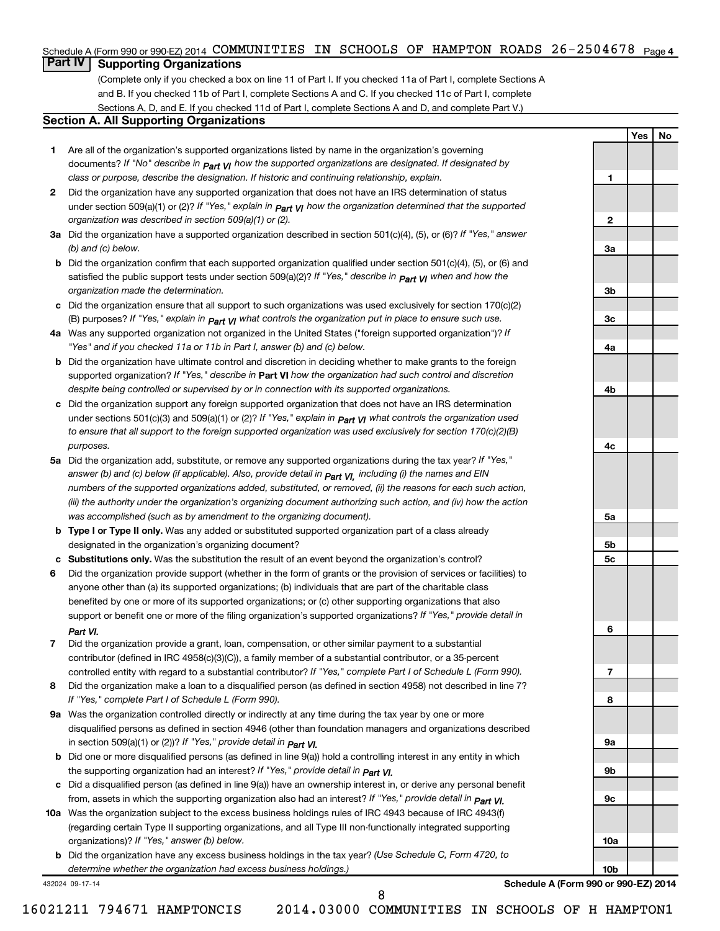### Schedule A (Form 990 or 990-EZ) 2014 COMMUNITIES IN SCHOOLS OF HAMPTON ROADS 26-2504678 <sub>Page 4</sub>

## **Part IV Supporting Organizations**

(Complete only if you checked a box on line 11 of Part I. If you checked 11a of Part I, complete Sections A and B. If you checked 11b of Part I, complete Sections A and C. If you checked 11c of Part I, complete Sections A, D, and E. If you checked 11d of Part I, complete Sections A and D, and complete Part V.)

### **Section A. All Supporting Organizations**

- **1** Are all of the organization's supported organizations listed by name in the organization's governing documents? If "No" describe in  $_{\mathsf{Part}}$   $_{\mathsf{V}}$  how the supported organizations are designated. If designated by *class or purpose, describe the designation. If historic and continuing relationship, explain.*
- **2** Did the organization have any supported organization that does not have an IRS determination of status under section 509(a)(1) or (2)? If "Yes," explain in  $_{\sf Part}$   $_{\sf VI}$  how the organization determined that the supported *organization was described in section 509(a)(1) or (2).*
- **3a** Did the organization have a supported organization described in section 501(c)(4), (5), or (6)? If "Yes," answer *(b) and (c) below.*
- **b** Did the organization confirm that each supported organization qualified under section 501(c)(4), (5), or (6) and satisfied the public support tests under section 509(a)(2)? If "Yes," describe in  $_{\rm Part}$   $_{\rm VI}$  when and how the *organization made the determination.*
- **c** Did the organization ensure that all support to such organizations was used exclusively for section 170(c)(2) (B) purposes? If "Yes," explain in  $_{\mathsf{Part}}$   $_{\mathsf{V}}$  what controls the organization put in place to ensure such use.
- **4 a** *If* Was any supported organization not organized in the United States ("foreign supported organization")? *"Yes" and if you checked 11a or 11b in Part I, answer (b) and (c) below.*
- **b** Did the organization have ultimate control and discretion in deciding whether to make grants to the foreign supported organization? If "Yes," describe in Part VI how the organization had such control and discretion *despite being controlled or supervised by or in connection with its supported organizations.*
- **c** Did the organization support any foreign supported organization that does not have an IRS determination under sections 501(c)(3) and 509(a)(1) or (2)? If "Yes," ex*plain in*  $_{\sf Part}$  *v*J what controls the organization used *to ensure that all support to the foreign supported organization was used exclusively for section 170(c)(2)(B) purposes.*
- **5a** Did the organization add, substitute, or remove any supported organizations during the tax year? If "Yes," answer (b) and (c) below (if applicable). Also, provide detail in  $_{\mathsf{Part}}$   $_{\mathsf{V{\mathsf{I}}}}$ , including (i) the names and EIN *numbers of the supported organizations added, substituted, or removed, (ii) the reasons for each such action, (iii) the authority under the organization's organizing document authorizing such action, and (iv) how the action was accomplished (such as by amendment to the organizing document).*
- **b** Type I or Type II only. Was any added or substituted supported organization part of a class already designated in the organization's organizing document?
- **c Substitutions only.**  Was the substitution the result of an event beyond the organization's control?
- **6** Did the organization provide support (whether in the form of grants or the provision of services or facilities) to support or benefit one or more of the filing organization's supported organizations? If "Yes," provide detail in anyone other than (a) its supported organizations; (b) individuals that are part of the charitable class benefited by one or more of its supported organizations; or (c) other supporting organizations that also *Part VI.*
- **7** Did the organization provide a grant, loan, compensation, or other similar payment to a substantial controlled entity with regard to a substantial contributor? If "Yes," complete Part I of Schedule L (Form 990). contributor (defined in IRC 4958(c)(3)(C)), a family member of a substantial contributor, or a 35-percent
- **8** Did the organization make a loan to a disqualified person (as defined in section 4958) not described in line 7? *If "Yes," complete Part I of Schedule L (Form 990).*
- **9 a** Was the organization controlled directly or indirectly at any time during the tax year by one or more *If "Yes," provide detail in*  in section 509(a)(1) or (2))? *Part VI.* disqualified persons as defined in section 4946 (other than foundation managers and organizations described
- **b** Did one or more disqualified persons (as defined in line 9(a)) hold a controlling interest in any entity in which  *If "Yes," provide detail in*  the supporting organization had an interest? *Part VI.*
- **c** Did a disqualified person (as defined in line 9(a)) have an ownership interest in, or derive any personal benefit from, assets in which the supporting organization also had an interest? If "Yes," *provide detail in Part VI.*
- **10 a** Was the organization subject to the excess business holdings rules of IRC 4943 because of IRC 4943(f)  *If "Yes," answer (b) below.* organizations)? (regarding certain Type II supporting organizations, and all Type III non-functionally integrated supporting
- **b** Did the organization have any excess business holdings in the tax year? (Use Schedule C, Form 4720, to *determine whether the organization had excess business holdings.)*

432024 09-17-14

**Schedule A (Form 990 or 990-EZ) 2014**

16021211 794671 HAMPTONCIS 2014.03000 COMMUNITIES IN SCHOOLS OF H HAMPTON1

8

**Yes No**

**1**

**2**

**3a**

**3b**

**3c**

**4a**

**4b**

**4c**

**5a**

**5b 5c**

**6**

**7**

**8**

**9a**

**9b**

**9c**

**10a**

**10b**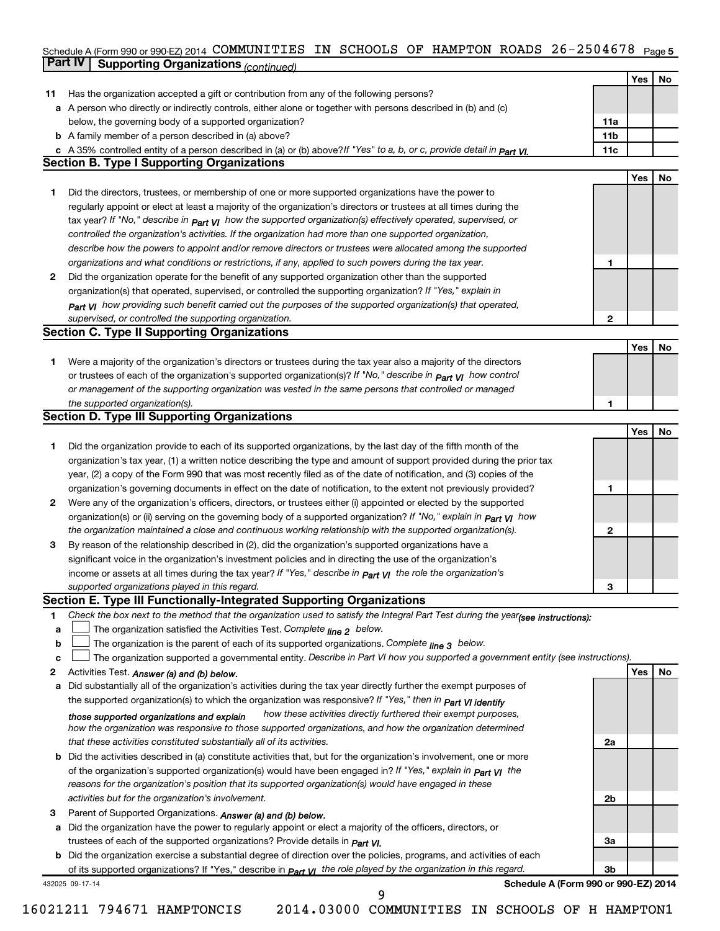#### Schedule A (Form 990 or 990-EZ) 2014 COMMUNITIES IN SCHOOLS OF HAMPTON ROADS 26-2504678 <sub>Page 5</sub> **Part IV Supporting Organizations** *(continued)* COMMUNITIES IN SCHOOLS OF HAMPTON ROADS 26-2504678

|              |                                                                                                                                      |              | Yes | <b>No</b> |
|--------------|--------------------------------------------------------------------------------------------------------------------------------------|--------------|-----|-----------|
|              |                                                                                                                                      |              |     |           |
| 11           | Has the organization accepted a gift or contribution from any of the following persons?                                              |              |     |           |
|              | a A person who directly or indirectly controls, either alone or together with persons described in (b) and (c)                       |              |     |           |
|              | below, the governing body of a supported organization?                                                                               | 11a          |     |           |
|              | <b>b</b> A family member of a person described in (a) above?                                                                         | 11b          |     |           |
|              | c A 35% controlled entity of a person described in (a) or (b) above? If "Yes" to a, b, or c, provide detail in $P_{\text{part}}$ VI. | 11c          |     |           |
|              | <b>Section B. Type I Supporting Organizations</b>                                                                                    |              |     |           |
|              |                                                                                                                                      |              | Yes | No        |
| 1            | Did the directors, trustees, or membership of one or more supported organizations have the power to                                  |              |     |           |
|              | regularly appoint or elect at least a majority of the organization's directors or trustees at all times during the                   |              |     |           |
|              | tax year? If "No," describe in $P_{art}$ VI how the supported organization(s) effectively operated, supervised, or                   |              |     |           |
|              | controlled the organization's activities. If the organization had more than one supported organization,                              |              |     |           |
|              | describe how the powers to appoint and/or remove directors or trustees were allocated among the supported                            |              |     |           |
|              | organizations and what conditions or restrictions, if any, applied to such powers during the tax year.                               | 1            |     |           |
| 2            | Did the organization operate for the benefit of any supported organization other than the supported                                  |              |     |           |
|              | organization(s) that operated, supervised, or controlled the supporting organization? If "Yes," explain in                           |              |     |           |
|              | Part VI how providing such benefit carried out the purposes of the supported organization(s) that operated,                          |              |     |           |
|              | supervised, or controlled the supporting organization.                                                                               | $\mathbf{2}$ |     |           |
|              | <b>Section C. Type II Supporting Organizations</b>                                                                                   |              |     |           |
|              |                                                                                                                                      |              | Yes | No        |
| 1            | Were a majority of the organization's directors or trustees during the tax year also a majority of the directors                     |              |     |           |
|              | or trustees of each of the organization's supported organization(s)? If "No," describe in <b>Part VI</b> how control                 |              |     |           |
|              | or management of the supporting organization was vested in the same persons that controlled or managed                               |              |     |           |
|              | the supported organization(s).                                                                                                       | 1            |     |           |
|              | <b>Section D. Type III Supporting Organizations</b>                                                                                  |              |     |           |
|              |                                                                                                                                      |              | Yes | No        |
| 1            | Did the organization provide to each of its supported organizations, by the last day of the fifth month of the                       |              |     |           |
|              | organization's tax year, (1) a written notice describing the type and amount of support provided during the prior tax                |              |     |           |
|              | year, (2) a copy of the Form 990 that was most recently filed as of the date of notification, and (3) copies of the                  |              |     |           |
|              | organization's governing documents in effect on the date of notification, to the extent not previously provided?                     | 1            |     |           |
| $\mathbf{2}$ | Were any of the organization's officers, directors, or trustees either (i) appointed or elected by the supported                     |              |     |           |
|              | organization(s) or (ii) serving on the governing body of a supported organization? If "No," explain in part VI how                   |              |     |           |
|              | the organization maintained a close and continuous working relationship with the supported organization(s).                          | $\mathbf{2}$ |     |           |
| 3            | By reason of the relationship described in (2), did the organization's supported organizations have a                                |              |     |           |
|              | significant voice in the organization's investment policies and in directing the use of the organization's                           |              |     |           |
|              | income or assets at all times during the tax year? If "Yes," describe in $P_{\text{art } VI}$ the role the organization's            |              |     |           |
|              | supported organizations played in this regard.                                                                                       | 3            |     |           |
|              | Section E. Type III Functionally-Integrated Supporting Organizations                                                                 |              |     |           |
| 1            | Check the box next to the method that the organization used to satisfy the Integral Part Test during the year(see instructions):     |              |     |           |
| а            | The organization satisfied the Activities Test. Complete line 2 below.                                                               |              |     |           |
| b            | The organization is the parent of each of its supported organizations. Complete $_{\text{line 3}}$ below.                            |              |     |           |
| с            | The organization supported a governmental entity. Describe in Part VI how you supported a government entity (see instructions).      |              |     |           |
| 2            | Activities Test. Answer (a) and (b) below.                                                                                           |              | Yes | No        |
| а            | Did substantially all of the organization's activities during the tax year directly further the exempt purposes of                   |              |     |           |
|              | the supported organization(s) to which the organization was responsive? If "Yes," then in Part VI identify                           |              |     |           |
|              | how these activities directly furthered their exempt purposes,<br>those supported organizations and explain                          |              |     |           |
|              | how the organization was responsive to those supported organizations, and how the organization determined                            |              |     |           |
|              | that these activities constituted substantially all of its activities.                                                               | 2a           |     |           |
|              | <b>b</b> Did the activities described in (a) constitute activities that, but for the organization's involvement, one or more         |              |     |           |
|              | of the organization's supported organization(s) would have been engaged in? If "Yes," explain in part yl the                         |              |     |           |
|              | reasons for the organization's position that its supported organization(s) would have engaged in these                               |              |     |           |
|              | activities but for the organization's involvement.                                                                                   | 2b           |     |           |
| з            | Parent of Supported Organizations. Answer (a) and (b) below.                                                                         |              |     |           |
|              | a Did the organization have the power to regularly appoint or elect a majority of the officers, directors, or                        |              |     |           |
|              | trustees of each of the supported organizations? Provide details in Part VI.                                                         | За           |     |           |
|              | <b>b</b> Did the organization exercise a substantial degree of direction over the policies, programs, and activities of each         |              |     |           |
|              | of its supported organizations? If "Yes," describe in $Part$ $VI$ the role played by the organization in this regard.                | Зb           |     |           |
|              | Schedule A (Form 990 or 990-EZ) 2014<br>432025 09-17-14<br>9                                                                         |              |     |           |
|              |                                                                                                                                      |              |     |           |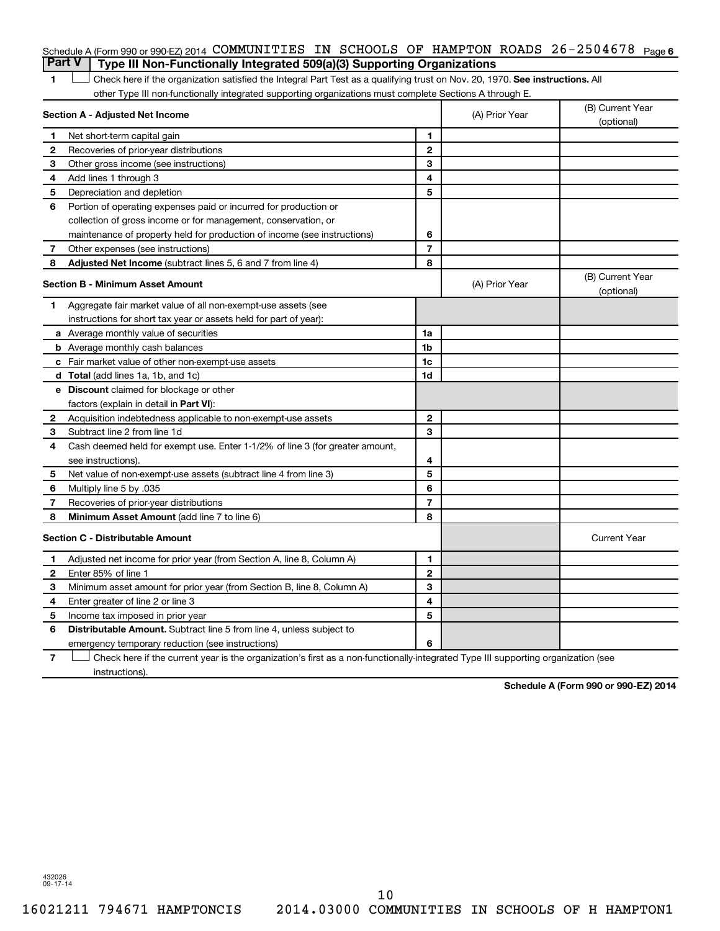### Schedule A (Form 990 or 990-EZ) 2014 COMMUNITIES IN SCHOOLS OF HAMPTON ROADS 26-2504678 <sub>Page 6</sub> **Part V Type III Non-Functionally Integrated 509(a)(3) Supporting Organizations**

1 **Letter on Reck here if the organization satisfied the Integral Part Test as a qualifying trust on Nov. 20, 1970. See instructions. All** other Type III non-functionally integrated supporting organizations must complete Sections A through E.

| (optional)                     |
|--------------------------------|
|                                |
|                                |
|                                |
|                                |
|                                |
|                                |
|                                |
|                                |
|                                |
|                                |
| (B) Current Year<br>(optional) |
|                                |
|                                |
|                                |
|                                |
|                                |
|                                |
|                                |
|                                |
|                                |
|                                |
|                                |
|                                |
|                                |
|                                |
|                                |
|                                |
| <b>Current Year</b>            |
|                                |
|                                |
|                                |
|                                |
|                                |
|                                |
|                                |
|                                |

**7** Check here if the current year is the organization's first as a non-functionally-integrated Type III supporting organization (see † instructions).

**Schedule A (Form 990 or 990-EZ) 2014**

432026 09-17-14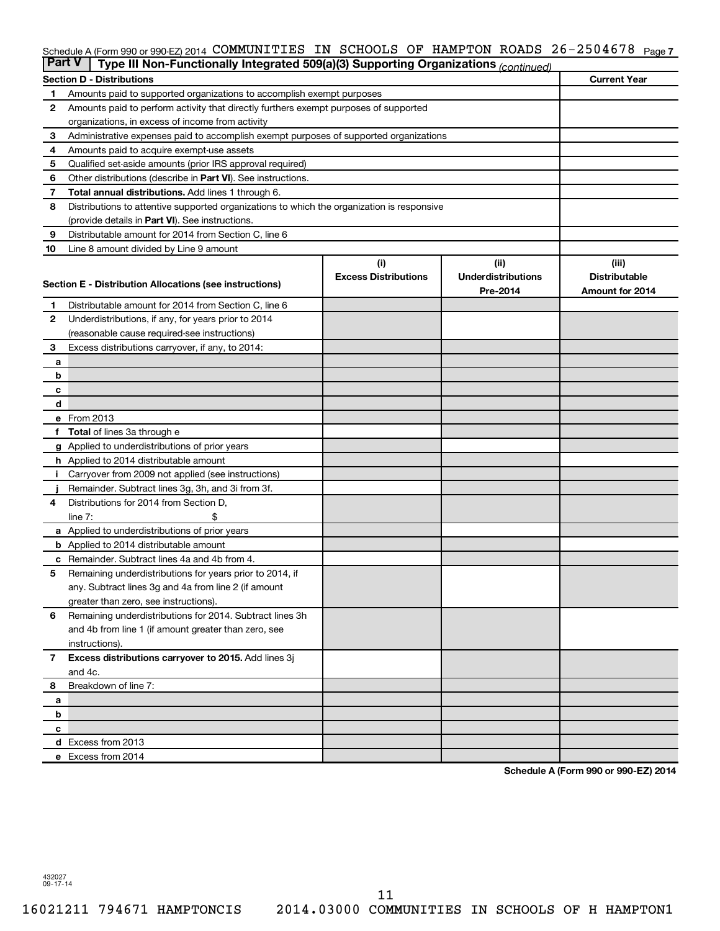### Schedule A (Form 990 or 990-EZ) 2014 COMMUNITIES IN SCHOOLS OF HAMPTON ROADS 26-2504678 <sub>Page 7</sub>

| <b>Part V</b>  | Type III Non-Functionally Integrated 509(a)(3) Supporting Organizations (continued)                 |                             |                           |                      |
|----------------|-----------------------------------------------------------------------------------------------------|-----------------------------|---------------------------|----------------------|
|                | <b>Section D - Distributions</b>                                                                    |                             |                           | <b>Current Year</b>  |
| 1              | Amounts paid to supported organizations to accomplish exempt purposes                               |                             |                           |                      |
| 2              | Amounts paid to perform activity that directly furthers exempt purposes of supported                |                             |                           |                      |
|                | organizations, in excess of income from activity                                                    |                             |                           |                      |
| 3              | Administrative expenses paid to accomplish exempt purposes of supported organizations               |                             |                           |                      |
| 4              | Amounts paid to acquire exempt-use assets                                                           |                             |                           |                      |
| 5              | Qualified set-aside amounts (prior IRS approval required)                                           |                             |                           |                      |
| 6              | Other distributions (describe in Part VI). See instructions.                                        |                             |                           |                      |
| 7              | Total annual distributions. Add lines 1 through 6.                                                  |                             |                           |                      |
| 8              | Distributions to attentive supported organizations to which the organization is responsive          |                             |                           |                      |
|                | (provide details in Part VI). See instructions.                                                     |                             |                           |                      |
| 9              | Distributable amount for 2014 from Section C, line 6                                                |                             |                           |                      |
| 10             | Line 8 amount divided by Line 9 amount                                                              |                             |                           |                      |
|                |                                                                                                     | (i)                         | (ii)                      | (iii)                |
|                | Section E - Distribution Allocations (see instructions)                                             | <b>Excess Distributions</b> | <b>Underdistributions</b> | <b>Distributable</b> |
|                |                                                                                                     |                             | Pre-2014                  | Amount for 2014      |
| 1              | Distributable amount for 2014 from Section C, line 6                                                |                             |                           |                      |
| $\mathbf{2}$   | Underdistributions, if any, for years prior to 2014                                                 |                             |                           |                      |
|                | (reasonable cause required-see instructions)                                                        |                             |                           |                      |
| 3              | Excess distributions carryover, if any, to 2014:                                                    |                             |                           |                      |
| a              |                                                                                                     |                             |                           |                      |
| b              |                                                                                                     |                             |                           |                      |
| с              |                                                                                                     |                             |                           |                      |
| d              |                                                                                                     |                             |                           |                      |
|                | e From 2013                                                                                         |                             |                           |                      |
|                | <b>Total</b> of lines 3a through e                                                                  |                             |                           |                      |
|                | g Applied to underdistributions of prior years                                                      |                             |                           |                      |
|                | <b>h</b> Applied to 2014 distributable amount<br>Carryover from 2009 not applied (see instructions) |                             |                           |                      |
|                | Remainder. Subtract lines 3g, 3h, and 3i from 3f.                                                   |                             |                           |                      |
| 4              | Distributions for 2014 from Section D,                                                              |                             |                           |                      |
|                | $line 7$ :                                                                                          |                             |                           |                      |
|                | a Applied to underdistributions of prior years                                                      |                             |                           |                      |
|                | <b>b</b> Applied to 2014 distributable amount                                                       |                             |                           |                      |
| с              | Remainder. Subtract lines 4a and 4b from 4.                                                         |                             |                           |                      |
| 5              | Remaining underdistributions for years prior to 2014, if                                            |                             |                           |                      |
|                | any. Subtract lines 3g and 4a from line 2 (if amount                                                |                             |                           |                      |
|                | greater than zero, see instructions).                                                               |                             |                           |                      |
| 6              | Remaining underdistributions for 2014. Subtract lines 3h                                            |                             |                           |                      |
|                | and 4b from line 1 (if amount greater than zero, see                                                |                             |                           |                      |
|                | instructions).                                                                                      |                             |                           |                      |
| $\overline{7}$ | Excess distributions carryover to 2015. Add lines 3j                                                |                             |                           |                      |
|                | and 4c.                                                                                             |                             |                           |                      |
| 8              | Breakdown of line 7:                                                                                |                             |                           |                      |
| a              |                                                                                                     |                             |                           |                      |
| b              |                                                                                                     |                             |                           |                      |
| с              |                                                                                                     |                             |                           |                      |
|                | d Excess from 2013                                                                                  |                             |                           |                      |
|                | e Excess from 2014                                                                                  |                             |                           |                      |

**Schedule A (Form 990 or 990-EZ) 2014**

432027 09-17-14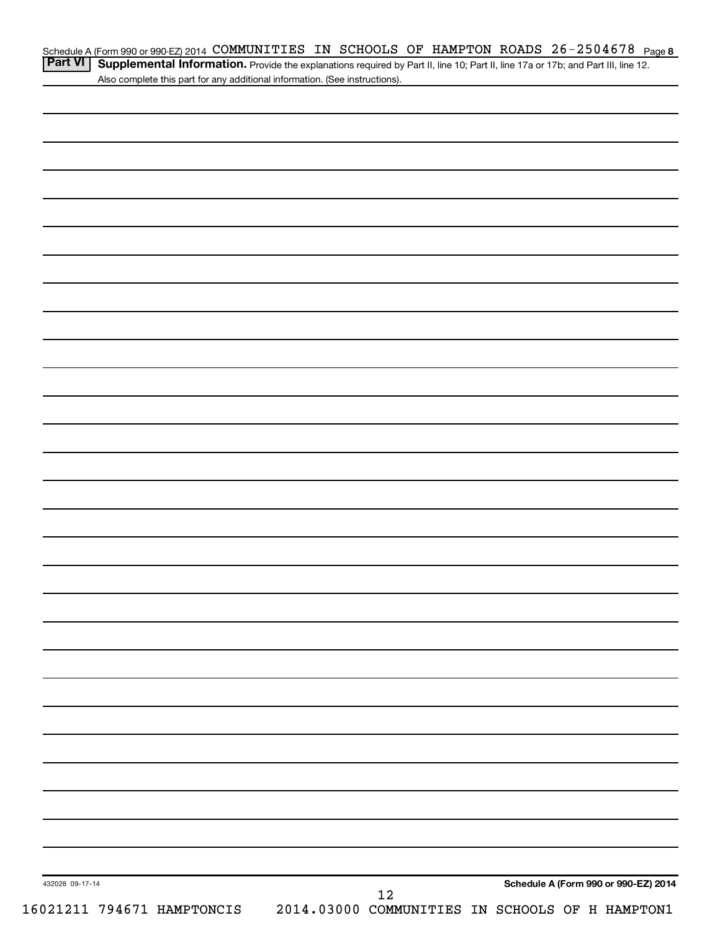| Schedule A (Form 990 or 990-EZ) 2014 COMMUNITIES IN SCHOOLS OF HAMPTON ROADS $26-2504678$ Page 8 |  |  |  |  |
|--------------------------------------------------------------------------------------------------|--|--|--|--|
| ________                                                                                         |  |  |  |  |

Part VI | Supplemental Information. Provide the explanations required by Part II, line 10; Part II, line 17a or 17b; and Part III, line 12. Also complete this part for any additional information. (See instructions).

| 432028 09-17-14<br>16021211 794671 HAMPTONCIS | 12 | Schedule A (Form 990 or 990-EZ) 2014<br>2014.03000 COMMUNITIES IN SCHOOLS OF H HAMPTON1 |
|-----------------------------------------------|----|-----------------------------------------------------------------------------------------|
|                                               |    |                                                                                         |
|                                               |    |                                                                                         |
|                                               |    |                                                                                         |
|                                               |    |                                                                                         |
|                                               |    |                                                                                         |
|                                               |    |                                                                                         |
|                                               |    |                                                                                         |
|                                               |    |                                                                                         |
|                                               |    |                                                                                         |
|                                               |    |                                                                                         |
|                                               |    |                                                                                         |
|                                               |    |                                                                                         |
|                                               |    |                                                                                         |
|                                               |    |                                                                                         |
|                                               |    |                                                                                         |
|                                               |    |                                                                                         |
|                                               |    |                                                                                         |
|                                               |    |                                                                                         |
|                                               |    |                                                                                         |
|                                               |    |                                                                                         |
|                                               |    |                                                                                         |
|                                               |    |                                                                                         |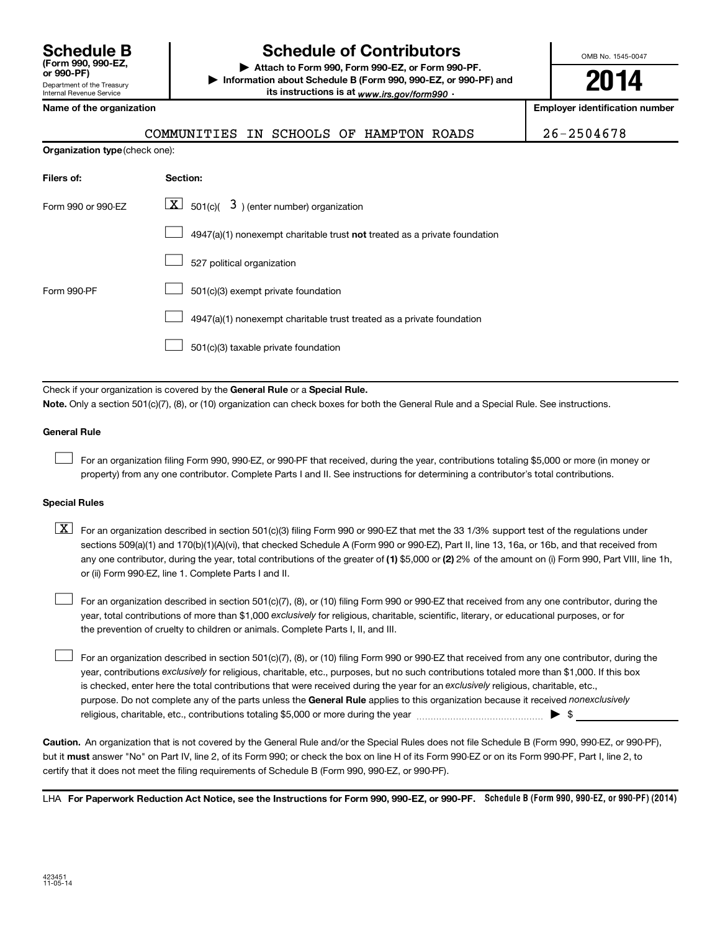# **Schedule B Schedule of Contributors**

**or 990-PF) | Attach to Form 990, Form 990-EZ, or Form 990-PF. | Information about Schedule B (Form 990, 990-EZ, or 990-PF) and** its instructions is at <sub>www.irs.gov/form990  $\cdot$ </sub>

OMB No. 1545-0047

**2014**

**Employer identification number** 

|  | Name of the organization |
|--|--------------------------|
|--|--------------------------|

**Organization type** (check one):

|  | COMMUNITIES IN SCHOOLS OF HAMPTON ROADS |  |  |  |  |  |  |
|--|-----------------------------------------|--|--|--|--|--|--|
|--|-----------------------------------------|--|--|--|--|--|--|

 $26 - 2504678$ 

| Filers of:         | Section:                                                                  |
|--------------------|---------------------------------------------------------------------------|
| Form 990 or 990-FZ | $ \mathbf{X} $ 501(c)( 3) (enter number) organization                     |
|                    | 4947(a)(1) nonexempt charitable trust not treated as a private foundation |
|                    | 527 political organization                                                |
| Form 990-PF        | 501(c)(3) exempt private foundation                                       |
|                    | 4947(a)(1) nonexempt charitable trust treated as a private foundation     |
|                    | 501(c)(3) taxable private foundation                                      |

Check if your organization is covered by the General Rule or a Special Rule.

**Note.**  Only a section 501(c)(7), (8), or (10) organization can check boxes for both the General Rule and a Special Rule. See instructions.

### **General Rule**

 $\Box$ 

For an organization filing Form 990, 990-EZ, or 990-PF that received, during the year, contributions totaling \$5,000 or more (in money or property) from any one contributor. Complete Parts I and II. See instructions for determining a contributor's total contributions.

#### **Special Rules**

any one contributor, during the year, total contributions of the greater of **(1)** \$5,000 or **(2)** 2% of the amount on (i) Form 990, Part VIII, line 1h,  $\boxed{\text{X}}$  For an organization described in section 501(c)(3) filing Form 990 or 990-EZ that met the 33 1/3% support test of the regulations under sections 509(a)(1) and 170(b)(1)(A)(vi), that checked Schedule A (Form 990 or 990-EZ), Part II, line 13, 16a, or 16b, and that received from or (ii) Form 990-EZ, line 1. Complete Parts I and II.

year, total contributions of more than \$1,000 *exclusively* for religious, charitable, scientific, literary, or educational purposes, or for For an organization described in section 501(c)(7), (8), or (10) filing Form 990 or 990-EZ that received from any one contributor, during the the prevention of cruelty to children or animals. Complete Parts I, II, and III.  $\Box$ 

purpose. Do not complete any of the parts unless the General Rule applies to this organization because it received nonexclusively year, contributions exclusively for religious, charitable, etc., purposes, but no such contributions totaled more than \$1,000. If this box is checked, enter here the total contributions that were received during the year for an exclusively religious, charitable, etc., For an organization described in section 501(c)(7), (8), or (10) filing Form 990 or 990-EZ that received from any one contributor, during the religious, charitable, etc., contributions totaling \$5,000 or more during the year  $\ldots$  $\ldots$  $\ldots$  $\ldots$  $\ldots$  $\ldots$  $\Box$ 

**Caution.** An organization that is not covered by the General Rule and/or the Special Rules does not file Schedule B (Form 990, 990-EZ, or 990-PF),  **must** but it answer "No" on Part IV, line 2, of its Form 990; or check the box on line H of its Form 990-EZ or on its Form 990-PF, Part I, line 2, to certify that it does not meet the filing requirements of Schedule B (Form 990, 990-EZ, or 990-PF).

LHA For Paperwork Reduction Act Notice, see the Instructions for Form 990, 990-EZ, or 990-PF. Schedule B (Form 990, 990-EZ, or 990-PF) (2014)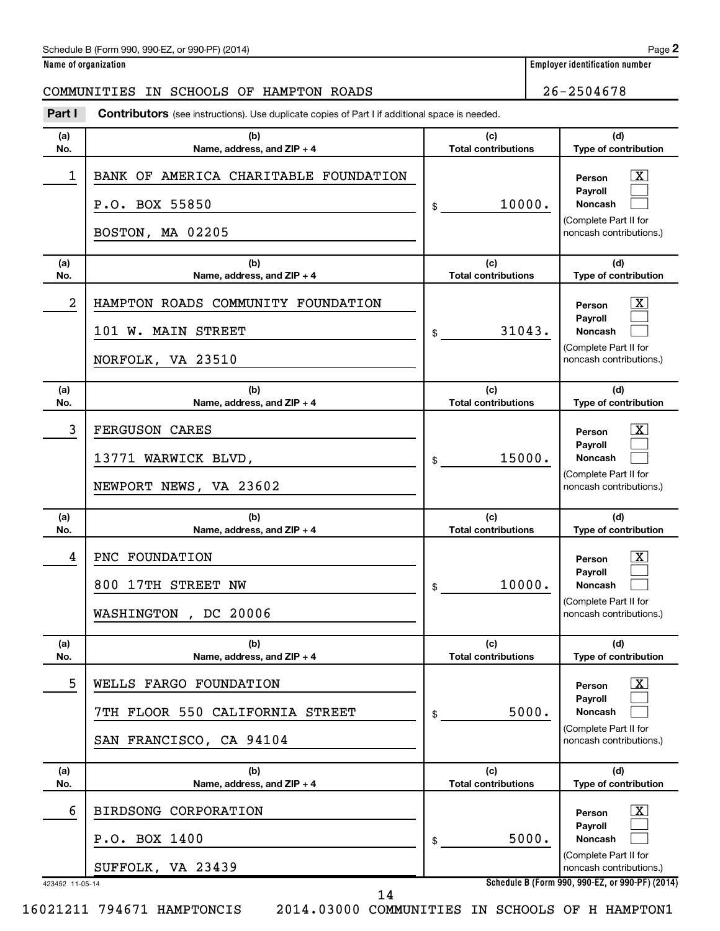### Schedule B (Form 990, 990-EZ, or 990-PF) (2014)

**Name of organization Employer identification number**

# COMMUNITIES IN SCHOOLS OF HAMPTON ROADS 26-2504678

| Part I               | <b>Contributors</b> (see instructions). Use duplicate copies of Part I if additional space is needed. |                                   |                                                                                                                                                     |
|----------------------|-------------------------------------------------------------------------------------------------------|-----------------------------------|-----------------------------------------------------------------------------------------------------------------------------------------------------|
| (a)<br>No.           | (b)<br>Name, address, and ZIP + 4                                                                     | (c)<br><b>Total contributions</b> | (d)<br>Type of contribution                                                                                                                         |
| 1                    | BANK OF AMERICA CHARITABLE FOUNDATION<br>P.O. BOX 55850<br>BOSTON, MA 02205                           | 10000.<br>\$                      | $\mathbf{X}$<br>Person<br>Payroll<br>Noncash<br>(Complete Part II for<br>noncash contributions.)                                                    |
| (a)<br>No.           | (b)<br>Name, address, and ZIP + 4                                                                     | (c)<br><b>Total contributions</b> | (d)<br>Type of contribution                                                                                                                         |
| 2                    | HAMPTON ROADS COMMUNITY FOUNDATION<br>101 W. MAIN STREET<br>NORFOLK, VA 23510                         | 31043.<br>\$                      | $\mathbf{X}$<br>Person<br>Payroll<br><b>Noncash</b><br>(Complete Part II for<br>noncash contributions.)                                             |
| (a)<br>No.           | (b)<br>Name, address, and ZIP + 4                                                                     | (c)<br><b>Total contributions</b> | (d)<br>Type of contribution                                                                                                                         |
| 3                    | FERGUSON CARES<br>13771 WARWICK BLVD,<br>NEWPORT NEWS, VA 23602                                       | 15000.<br>\$                      | $\mathbf{X}$<br>Person<br>Payroll<br><b>Noncash</b><br>(Complete Part II for<br>noncash contributions.)                                             |
|                      |                                                                                                       |                                   |                                                                                                                                                     |
| (a)<br>No.           | (b)<br>Name, address, and ZIP + 4                                                                     | (c)<br><b>Total contributions</b> | (d)<br>Type of contribution                                                                                                                         |
| 4                    | PNC FOUNDATION<br>800 17TH STREET NW<br>WASHINGTON,<br>DC 20006                                       | 10000.<br>\$                      | $\mathbf{X}$<br>Person<br>Payroll<br><b>Noncash</b><br>(Complete Part II for<br>noncash contributions.)                                             |
| (a)<br>No.           | (b)<br>Name, address, and ZIP + 4                                                                     | (c)<br><b>Total contributions</b> | (d)<br>Type of contribution                                                                                                                         |
| 5                    | WELLS FARGO FOUNDATION<br>7TH FLOOR 550 CALIFORNIA STREET<br>SAN FRANCISCO, CA 94104                  | 5000.<br>\$                       | $\vert X \vert$<br>Person<br><b>Pavroll</b><br><b>Noncash</b><br>(Complete Part II for<br>noncash contributions.)                                   |
| (a)<br>No.           | (b)<br>Name, address, and $ZIP + 4$                                                                   | (c)<br><b>Total contributions</b> | (d)<br>Type of contribution                                                                                                                         |
| 6<br>423452 11-05-14 | BIRDSONG CORPORATION<br>P.O. BOX 1400<br>SUFFOLK, VA 23439                                            | 5000.<br>\$                       | $\mathbf{X}$<br>Person<br>Payroll<br>Noncash<br>(Complete Part II for<br>noncash contributions.)<br>Schedule B (Form 990, 990-EZ, or 990-PF) (2014) |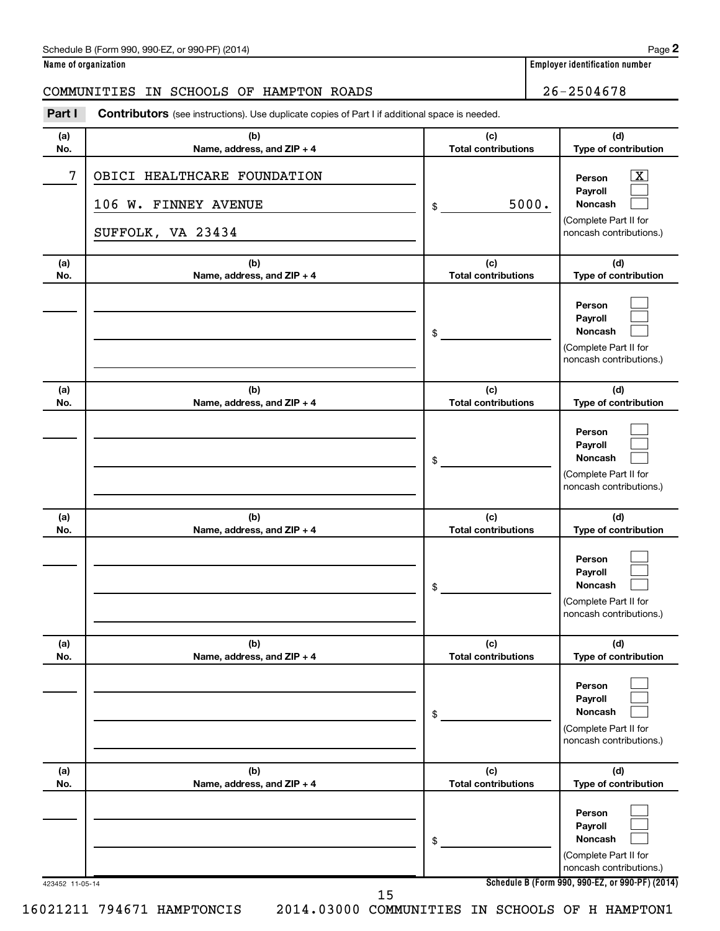### Schedule B (Form 990, 990-EZ, or 990-PF) (2014)

| Name of organization |  |
|----------------------|--|
|----------------------|--|

# COMMUNITIES IN SCHOOLS OF HAMPTON ROADS 26-2504678

| Part I     | <b>Contributors</b> (see instructions). Use duplicate copies of Part I if additional space is needed. |                                   |                                                                                                           |
|------------|-------------------------------------------------------------------------------------------------------|-----------------------------------|-----------------------------------------------------------------------------------------------------------|
| (a)<br>No. | (b)<br>Name, address, and ZIP + 4                                                                     | (c)<br><b>Total contributions</b> | (d)<br>Type of contribution                                                                               |
| 7          | OBICI HEALTHCARE FOUNDATION<br>106 W. FINNEY AVENUE<br>SUFFOLK, VA 23434                              | 5000.<br>\$                       | $\overline{\text{X}}$<br>Person<br>Payroll<br>Noncash<br>(Complete Part II for<br>noncash contributions.) |
| (a)<br>No. | (b)<br>Name, address, and ZIP + 4                                                                     | (c)<br><b>Total contributions</b> | (d)<br>Type of contribution                                                                               |
|            |                                                                                                       | \$                                | Person<br>Payroll<br>Noncash<br>(Complete Part II for<br>noncash contributions.)                          |
| (a)<br>No. | (b)<br>Name, address, and ZIP + 4                                                                     | (c)<br><b>Total contributions</b> | (d)<br>Type of contribution                                                                               |
|            |                                                                                                       | \$                                | Person<br>Payroll<br><b>Noncash</b><br>(Complete Part II for<br>noncash contributions.)                   |
| (a)<br>No. | (b)<br>Name, address, and ZIP + 4                                                                     | (c)<br><b>Total contributions</b> | (d)<br>Type of contribution                                                                               |
|            |                                                                                                       | \$                                | Person<br>Payroll<br><b>Noncash</b><br>(Complete Part II for<br>noncash contributions.)                   |
| (a)<br>No. | (b)<br>Name, address, and ZIP + 4                                                                     | (c)<br><b>Total contributions</b> | (d)<br>Type of contribution                                                                               |
|            |                                                                                                       | \$                                | Person<br>Payroll<br>Noncash<br>(Complete Part II for<br>noncash contributions.)                          |
| (a)<br>No. | (b)<br>Name, address, and ZIP + 4                                                                     | (c)<br><b>Total contributions</b> | (d)<br>Type of contribution                                                                               |
|            |                                                                                                       | \$                                | Person<br>Payroll<br>Noncash<br>(Complete Part II for<br>noncash contributions.)                          |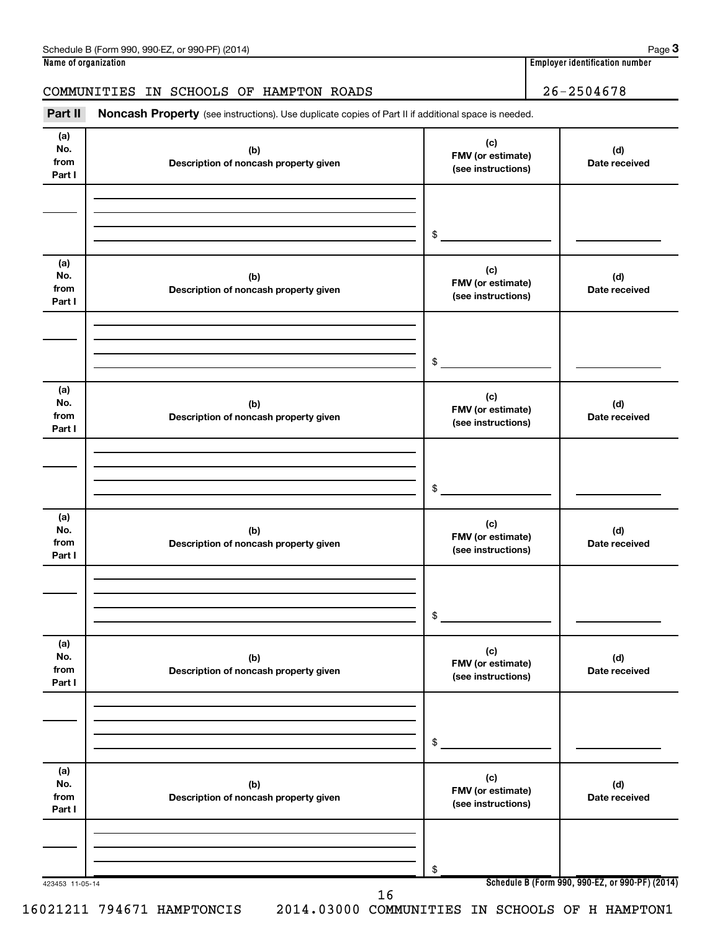# COMMUNITIES IN SCHOOLS OF HAMPTON ROADS 26-2504678

Part II Noncash Property (see instructions). Use duplicate copies of Part II if additional space is needed.

| No.<br>from<br>Part I        | (b)<br>Description of noncash property given | (c)<br>FMV (or estimate)<br>(see instructions) | (d)<br>Date received |
|------------------------------|----------------------------------------------|------------------------------------------------|----------------------|
|                              |                                              | \$                                             |                      |
| (a)<br>No.<br>from<br>Part I | (b)<br>Description of noncash property given | (c)<br>FMV (or estimate)<br>(see instructions) | (d)<br>Date received |
|                              |                                              | \$                                             |                      |
| (a)<br>No.<br>from<br>Part I | (b)<br>Description of noncash property given | (c)<br>FMV (or estimate)<br>(see instructions) | (d)<br>Date received |
|                              |                                              | \$                                             |                      |
| (a)<br>No.<br>from<br>Part I | (b)<br>Description of noncash property given | (c)<br>FMV (or estimate)<br>(see instructions) | (d)<br>Date received |
|                              |                                              | \$                                             |                      |
| (a)<br>No.<br>from<br>Part I | (b)<br>Description of noncash property given | (c)<br>FMV (or estimate)<br>(see instructions) | (d)<br>Date received |
|                              |                                              | \$                                             |                      |
| (a)<br>No.<br>from<br>Part I | (b)<br>Description of noncash property given | (c)<br>FMV (or estimate)<br>(see instructions) | (d)<br>Date received |
|                              |                                              | \$                                             |                      |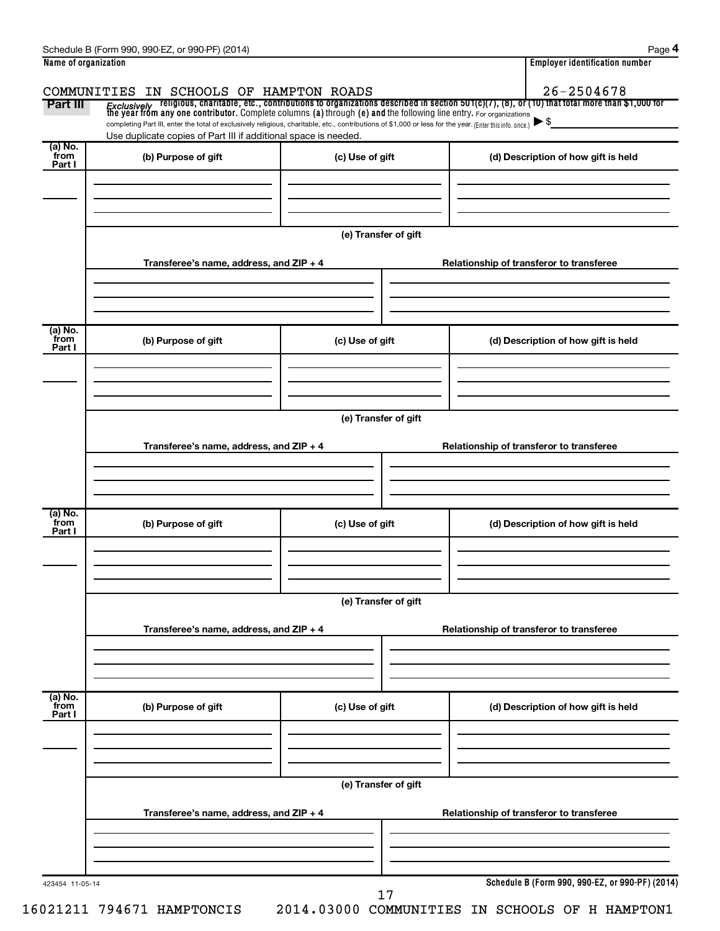|                           | COMMUNITIES IN SCHOOLS OF HAMPTON ROADS                                                                                                                                                                                     |                      | 26-2504678                                                                                                                                                                                                                              |
|---------------------------|-----------------------------------------------------------------------------------------------------------------------------------------------------------------------------------------------------------------------------|----------------------|-----------------------------------------------------------------------------------------------------------------------------------------------------------------------------------------------------------------------------------------|
| Part III                  |                                                                                                                                                                                                                             |                      | <i>Exclusively</i> religious, charitable, etc., contributions to organizations described in section 501(c)(7), (8), or (10) that total more than \$1,000 for<br>the year from any one contributor. Complete columns (a) through (e) and |
|                           | completing Part III, enter the total of exclusively religious, charitable, etc., contributions of \$1,000 or less for the year. (Enter this info. once.)<br>Use duplicate copies of Part III if additional space is needed. |                      | $\blacktriangleright$ \$                                                                                                                                                                                                                |
| (a) No.                   |                                                                                                                                                                                                                             |                      |                                                                                                                                                                                                                                         |
| from<br>Part I            | (b) Purpose of gift                                                                                                                                                                                                         | (c) Use of gift      | (d) Description of how gift is held                                                                                                                                                                                                     |
|                           |                                                                                                                                                                                                                             |                      |                                                                                                                                                                                                                                         |
|                           |                                                                                                                                                                                                                             |                      |                                                                                                                                                                                                                                         |
|                           |                                                                                                                                                                                                                             |                      |                                                                                                                                                                                                                                         |
|                           |                                                                                                                                                                                                                             | (e) Transfer of gift |                                                                                                                                                                                                                                         |
|                           | Transferee's name, address, and ZIP + 4                                                                                                                                                                                     |                      | Relationship of transferor to transferee                                                                                                                                                                                                |
|                           |                                                                                                                                                                                                                             |                      |                                                                                                                                                                                                                                         |
|                           |                                                                                                                                                                                                                             |                      |                                                                                                                                                                                                                                         |
|                           |                                                                                                                                                                                                                             |                      |                                                                                                                                                                                                                                         |
| (a) No.<br>`from          |                                                                                                                                                                                                                             |                      |                                                                                                                                                                                                                                         |
| Part I                    | (b) Purpose of gift                                                                                                                                                                                                         | (c) Use of gift      | (d) Description of how gift is held                                                                                                                                                                                                     |
|                           |                                                                                                                                                                                                                             |                      |                                                                                                                                                                                                                                         |
|                           |                                                                                                                                                                                                                             |                      |                                                                                                                                                                                                                                         |
|                           |                                                                                                                                                                                                                             |                      |                                                                                                                                                                                                                                         |
|                           |                                                                                                                                                                                                                             | (e) Transfer of gift |                                                                                                                                                                                                                                         |
|                           | Transferee's name, address, and ZIP + 4                                                                                                                                                                                     |                      | Relationship of transferor to transferee                                                                                                                                                                                                |
|                           |                                                                                                                                                                                                                             |                      |                                                                                                                                                                                                                                         |
|                           |                                                                                                                                                                                                                             |                      |                                                                                                                                                                                                                                         |
|                           |                                                                                                                                                                                                                             |                      |                                                                                                                                                                                                                                         |
| (a) No.<br>`from          | (b) Purpose of gift                                                                                                                                                                                                         | (c) Use of gift      | (d) Description of how gift is held                                                                                                                                                                                                     |
| Part I                    |                                                                                                                                                                                                                             |                      |                                                                                                                                                                                                                                         |
|                           |                                                                                                                                                                                                                             |                      |                                                                                                                                                                                                                                         |
|                           |                                                                                                                                                                                                                             |                      |                                                                                                                                                                                                                                         |
|                           |                                                                                                                                                                                                                             | (e) Transfer of gift |                                                                                                                                                                                                                                         |
|                           |                                                                                                                                                                                                                             |                      |                                                                                                                                                                                                                                         |
|                           | Transferee's name, address, and ZIP + 4                                                                                                                                                                                     |                      | Relationship of transferor to transferee                                                                                                                                                                                                |
|                           |                                                                                                                                                                                                                             |                      |                                                                                                                                                                                                                                         |
|                           |                                                                                                                                                                                                                             |                      |                                                                                                                                                                                                                                         |
|                           |                                                                                                                                                                                                                             |                      |                                                                                                                                                                                                                                         |
| (a) No.<br>from<br>Part I | (b) Purpose of gift                                                                                                                                                                                                         | (c) Use of gift      | (d) Description of how gift is held                                                                                                                                                                                                     |
|                           |                                                                                                                                                                                                                             |                      |                                                                                                                                                                                                                                         |
|                           |                                                                                                                                                                                                                             |                      |                                                                                                                                                                                                                                         |
|                           |                                                                                                                                                                                                                             |                      |                                                                                                                                                                                                                                         |
|                           |                                                                                                                                                                                                                             | (e) Transfer of gift |                                                                                                                                                                                                                                         |
|                           |                                                                                                                                                                                                                             |                      |                                                                                                                                                                                                                                         |
|                           | Transferee's name, address, and ZIP + 4                                                                                                                                                                                     |                      | Relationship of transferor to transferee                                                                                                                                                                                                |
|                           |                                                                                                                                                                                                                             |                      |                                                                                                                                                                                                                                         |
|                           |                                                                                                                                                                                                                             |                      |                                                                                                                                                                                                                                         |
|                           |                                                                                                                                                                                                                             |                      |                                                                                                                                                                                                                                         |
| 423454 11-05-14           |                                                                                                                                                                                                                             |                      | Schedule B (Form 990, 990-EZ, or 990-PF) (2014)                                                                                                                                                                                         |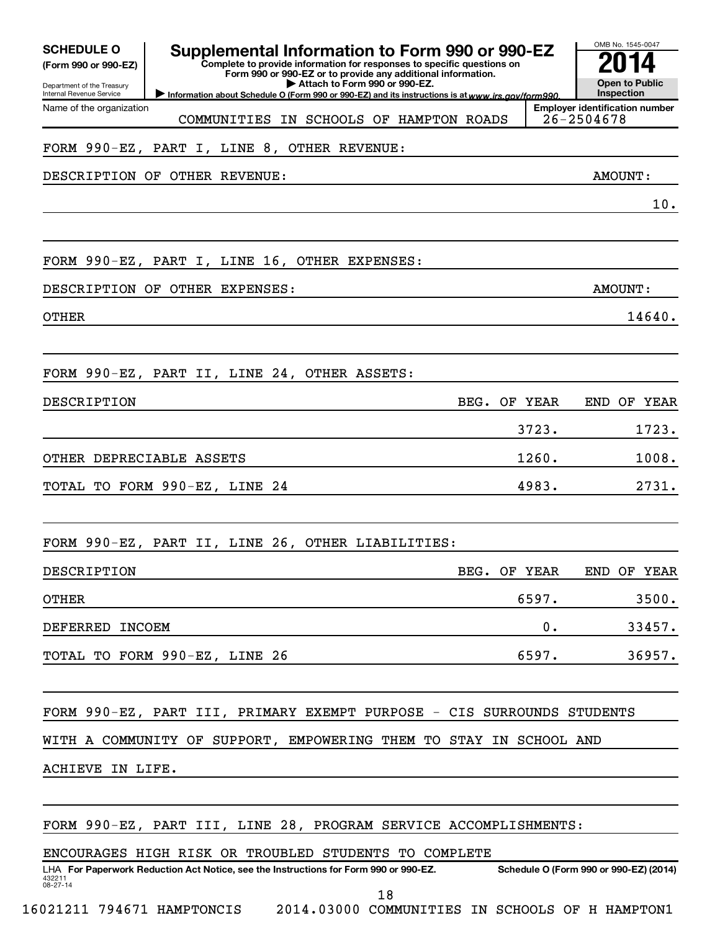| <b>SCHEDULE O</b><br>(Form 990 or 990-EZ)<br>Department of the Treasury<br>Internal Revenue Service | Supplemental Information to Form 990 or 990-EZ<br>Complete to provide information for responses to specific questions on<br>Form 990 or 990-EZ or to provide any additional information.<br>Attach to Form 990 or 990-EZ.<br>Information about Schedule O (Form 990 or 990-EZ) and its instructions is at www.irs.gov/form990. |              |         | OMB No. 1545-0047<br><b>Open to Public</b><br>Inspection |
|-----------------------------------------------------------------------------------------------------|--------------------------------------------------------------------------------------------------------------------------------------------------------------------------------------------------------------------------------------------------------------------------------------------------------------------------------|--------------|---------|----------------------------------------------------------|
| Name of the organization                                                                            | COMMUNITIES IN SCHOOLS OF HAMPTON ROADS                                                                                                                                                                                                                                                                                        |              |         | <b>Employer identification number</b><br>26-2504678      |
|                                                                                                     | FORM 990-EZ, PART I, LINE 8, OTHER REVENUE:                                                                                                                                                                                                                                                                                    |              |         |                                                          |
|                                                                                                     | DESCRIPTION OF OTHER REVENUE:                                                                                                                                                                                                                                                                                                  |              |         | AMOUNT:                                                  |
|                                                                                                     |                                                                                                                                                                                                                                                                                                                                |              |         | 10.                                                      |
|                                                                                                     |                                                                                                                                                                                                                                                                                                                                |              |         |                                                          |
|                                                                                                     | FORM 990-EZ, PART I, LINE 16, OTHER EXPENSES:                                                                                                                                                                                                                                                                                  |              |         |                                                          |
|                                                                                                     | DESCRIPTION OF OTHER EXPENSES:                                                                                                                                                                                                                                                                                                 |              |         | AMOUNT:                                                  |
| <b>OTHER</b>                                                                                        |                                                                                                                                                                                                                                                                                                                                |              |         | 14640.                                                   |
|                                                                                                     |                                                                                                                                                                                                                                                                                                                                |              |         |                                                          |
|                                                                                                     | FORM 990-EZ, PART II, LINE 24, OTHER ASSETS:                                                                                                                                                                                                                                                                                   |              |         |                                                          |
| DESCRIPTION                                                                                         |                                                                                                                                                                                                                                                                                                                                | BEG.         | OF YEAR | OF YEAR<br>END                                           |
|                                                                                                     |                                                                                                                                                                                                                                                                                                                                |              | 3723.   | 1723.                                                    |
| OTHER DEPRECIABLE ASSETS                                                                            |                                                                                                                                                                                                                                                                                                                                |              | 1260.   | 1008.                                                    |
|                                                                                                     | TOTAL TO FORM 990-EZ, LINE 24                                                                                                                                                                                                                                                                                                  |              | 4983.   | 2731.                                                    |
|                                                                                                     |                                                                                                                                                                                                                                                                                                                                |              |         |                                                          |
|                                                                                                     | FORM 990-EZ, PART II, LINE 26, OTHER LIABILITIES:                                                                                                                                                                                                                                                                              |              |         |                                                          |
| DESCRIPTION                                                                                         |                                                                                                                                                                                                                                                                                                                                | BEG. OF YEAR |         | END OF YEAR                                              |
| <b>OTHER</b>                                                                                        |                                                                                                                                                                                                                                                                                                                                |              | 6597.   | 3500.                                                    |
| DEFERRED INCOEM                                                                                     |                                                                                                                                                                                                                                                                                                                                |              | 0.      | 33457.                                                   |
|                                                                                                     | TOTAL TO FORM 990-EZ, LINE 26                                                                                                                                                                                                                                                                                                  |              | 6597.   | 36957.                                                   |
|                                                                                                     |                                                                                                                                                                                                                                                                                                                                |              |         |                                                          |
|                                                                                                     | FORM 990-EZ, PART III, PRIMARY EXEMPT PURPOSE - CIS SURROUNDS STUDENTS                                                                                                                                                                                                                                                         |              |         |                                                          |
|                                                                                                     | WITH A COMMUNITY OF SUPPORT, EMPOWERING THEM TO STAY IN SCHOOL AND                                                                                                                                                                                                                                                             |              |         |                                                          |
| ACHIEVE IN LIFE.                                                                                    |                                                                                                                                                                                                                                                                                                                                |              |         |                                                          |
|                                                                                                     |                                                                                                                                                                                                                                                                                                                                |              |         |                                                          |
|                                                                                                     | FORM 990-EZ, PART III, LINE 28, PROGRAM SERVICE ACCOMPLISHMENTS:                                                                                                                                                                                                                                                               |              |         |                                                          |
|                                                                                                     | ENCOURAGES HIGH RISK OR TROUBLED STUDENTS TO COMPLETE                                                                                                                                                                                                                                                                          |              |         |                                                          |
| 432211<br>$08 - 27 - 14$                                                                            | LHA For Paperwork Reduction Act Notice, see the Instructions for Form 990 or 990-EZ.                                                                                                                                                                                                                                           |              |         | Schedule O (Form 990 or 990-EZ) (2014)                   |
|                                                                                                     | 18                                                                                                                                                                                                                                                                                                                             |              |         |                                                          |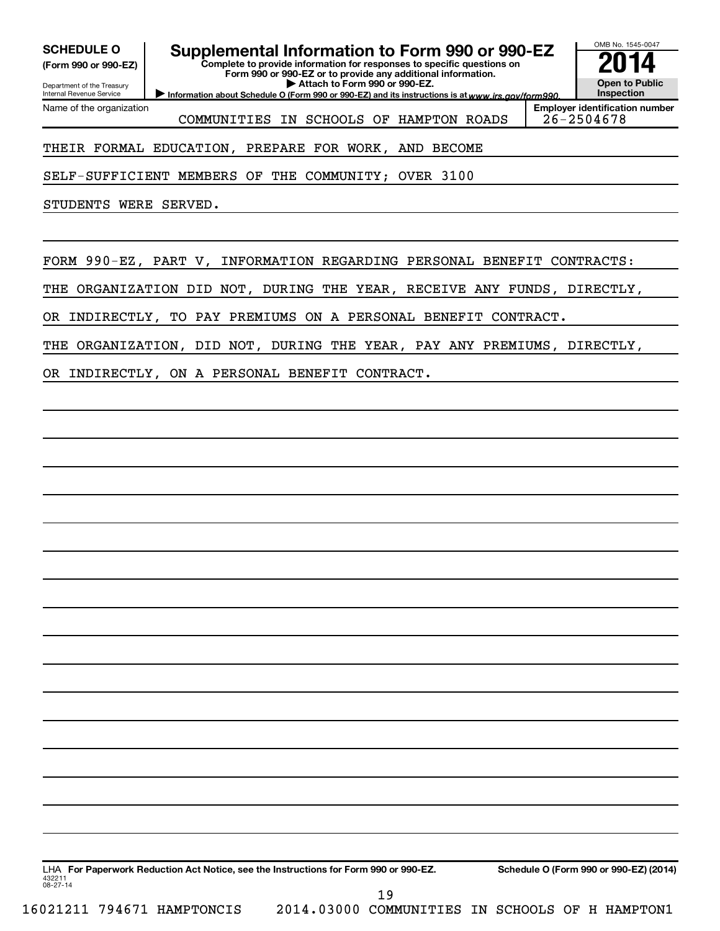**(Form 990 or 990-EZ)**

Department of the Treasury Internal Revenue Service

Name of the organization

# **SCHEDULE O Supplemental Information to Form 990 or 990-EZ 2014**

**Complete to provide information for responses to specific questions on Form 990 or 990-EZ or to provide any additional information. | Attach to Form 990 or 990-EZ.**

Information about Schedule O (Form 990 or 990-EZ) and its instructions is at www.irs.gov/form990.

**Employer identification number** COMMUNITIES IN SCHOOLS OF HAMPTON ROADS 26-2504678

OMB No. 1545-0047

**Open to Public Inspection**

### THEIR FORMAL EDUCATION, PREPARE FOR WORK, AND BECOME

SELF-SUFFICIENT MEMBERS OF THE COMMUNITY; OVER 3100

STUDENTS WERE SERVED.

FORM 990-EZ, PART V, INFORMATION REGARDING PERSONAL BENEFIT CONTRACTS:

THE ORGANIZATION DID NOT, DURING THE YEAR, RECEIVE ANY FUNDS, DIRECTLY,

OR INDIRECTLY, TO PAY PREMIUMS ON A PERSONAL BENEFIT CONTRACT.

THE ORGANIZATION, DID NOT, DURING THE YEAR, PAY ANY PREMIUMS, DIRECTLY,

OR INDIRECTLY, ON A PERSONAL BENEFIT CONTRACT.

| 432211<br>$08 - 27 - 14$ |                            | LHA For Paperwork Reduction Act Notice, see the Instructions for Form 990 or 990-EZ. |                                                 |  |  | Schedule O (Form 990 or 990-EZ) (2014) |
|--------------------------|----------------------------|--------------------------------------------------------------------------------------|-------------------------------------------------|--|--|----------------------------------------|
|                          |                            |                                                                                      |                                                 |  |  |                                        |
|                          | 16021211 794671 HAMPTONCIS |                                                                                      | 2014.03000 COMMUNITIES IN SCHOOLS OF H HAMPTON1 |  |  |                                        |